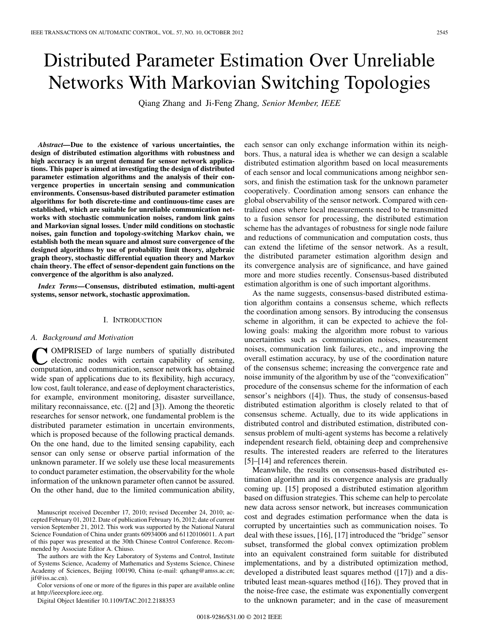# Distributed Parameter Estimation Over Unreliable Networks With Markovian Switching Topologies

Qiang Zhang and Ji-Feng Zhang*, Senior Member, IEEE*

*Abstract—***Due to the existence of various uncertainties, the design of distributed estimation algorithms with robustness and high accuracy is an urgent demand for sensor network applications. This paper is aimed at investigating the design of distributed parameter estimation algorithms and the analysis of their convergence properties in uncertain sensing and communication environments. Consensus-based distributed parameter estimation algorithms for both discrete-time and continuous-time cases are established, which are suitable for unreliable communication networks with stochastic communication noises, random link gains and Markovian signal losses. Under mild conditions on stochastic noises, gain function and topology-switching Markov chain, we establish both the mean square and almost sure convergence of the designed algorithms by use of probability limit theory, algebraic graph theory, stochastic differential equation theory and Markov chain theory. The effect of sensor-dependent gain functions on the convergence of the algorithm is also analyzed.**

*Index Terms—***Consensus, distributed estimation, multi-agent systems, sensor network, stochastic approximation.**

#### I. INTRODUCTION

#### *A. Background and Motivation*

**C**OMPRISED of large numbers of spatially distributed electronic nodes with certain capability of sensing, computation, and communication, sensor network has obtained wide span of applications due to its flexibility, high accuracy, low cost, fault tolerance, and ease of deployment characteristics, for example, environment monitoring, disaster surveillance, military reconnaissance, etc. ([2] and [3]). Among the theoretic researches for sensor network, one fundamental problem is the distributed parameter estimation in uncertain environments, which is proposed because of the following practical demands. On the one hand, due to the limited sensing capability, each sensor can only sense or observe partial information of the unknown parameter. If we solely use these local measurements to conduct parameter estimation, the observability for the whole information of the unknown parameter often cannot be assured. On the other hand, due to the limited communication ability,

Manuscript received December 17, 2010; revised December 24, 2010; accepted February 01, 2012. Date of publication February 16, 2012; date of current version September 21, 2012. This work was supported by the National Natural Science Foundation of China under grants 60934006 and 61120106011. A part of this paper was presented at the 30th Chinese Control Conference. Recommended by Associate Editor A. Chiuso.

The authors are with the Key Laboratory of Systems and Control, Institute of Systems Science, Academy of Mathematics and Systems Science, Chinese Academy of Sciences, Beijing 100190, China (e-mail: qzhang@amss.ac.cn;  $i$ if@iss.ac.cn).

Color versions of one or more of the figures in this paper are available online at http://ieeexplore.ieee.org.

Digital Object Identifier 10.1109/TAC.2012.2188353

each sensor can only exchange information within its neighbors. Thus, a natural idea is whether we can design a scalable distributed estimation algorithm based on local measurements of each sensor and local communications among neighbor sensors, and finish the estimation task for the unknown parameter cooperatively. Coordination among sensors can enhance the global observability of the sensor network. Compared with centralized ones where local measurements need to be transmitted to a fusion sensor for processing, the distributed estimation scheme has the advantages of robustness for single node failure and reductions of communication and computation costs, thus can extend the lifetime of the sensor network. As a result, the distributed parameter estimation algorithm design and its convergence analysis are of significance, and have gained more and more studies recently. Consensus-based distributed estimation algorithm is one of such important algorithms.

As the name suggests, consensus-based distributed estimation algorithm contains a consensus scheme, which reflects the coordination among sensors. By introducing the consensus scheme in algorithm, it can be expected to achieve the following goals: making the algorithm more robust to various uncertainties such as communication noises, measurement noises, communication link failures, etc., and improving the overall estimation accuracy, by use of the coordination nature of the consensus scheme; increasing the convergence rate and noise immunity of the algorithm by use of the "convexification" procedure of the consensus scheme for the information of each sensor's neighbors ([4]). Thus, the study of consensus-based distributed estimation algorithm is closely related to that of consensus scheme. Actually, due to its wide applications in distributed control and distributed estimation, distributed consensus problem of multi-agent systems has become a relatively independent research field, obtaining deep and comprehensive results. The interested readers are referred to the literatures [5]–[14] and references therein.

Meanwhile, the results on consensus-based distributed estimation algorithm and its convergence analysis are gradually coming up. [15] proposed a distributed estimation algorithm based on diffusion strategies. This scheme can help to percolate new data across sensor network, but increases communication cost and degrades estimation performance when the data is corrupted by uncertainties such as communication noises. To deal with these issues, [16], [17] introduced the "bridge" sensor subset, transformed the global convex optimization problem into an equivalent constrained form suitable for distributed implementations, and by a distributed optimization method, developed a distributed least squares method ([17]) and a distributed least mean-squares method ([16]). They proved that in the noise-free case, the estimate was exponentially convergent to the unknown parameter; and in the case of measurement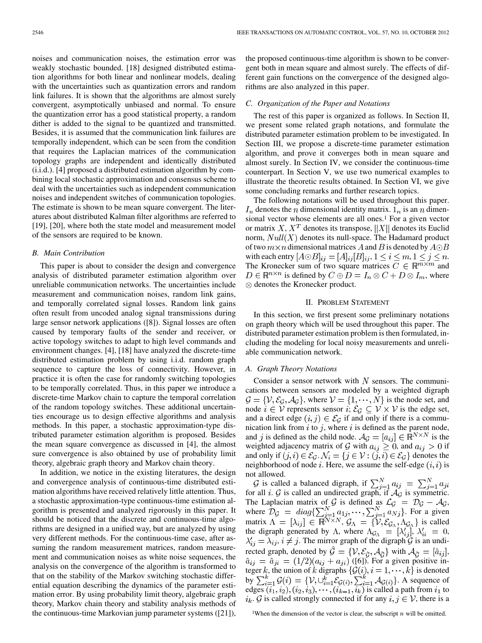noises and communication noises, the estimation error was weakly stochastic bounded. [18] designed distributed estimation algorithms for both linear and nonlinear models, dealing with the uncertainties such as quantization errors and random link failures. It is shown that the algorithms are almost surely convergent, asymptotically unbiased and normal. To ensure the quantization error has a good statistical property, a random dither is added to the signal to be quantized and transmitted. Besides, it is assumed that the communication link failures are temporally independent, which can be seen from the condition that requires the Laplacian matrices of the communication topology graphs are independent and identically distributed (i.i.d.). [4] proposed a distributed estimation algorithm by combining local stochastic approximation and consensus scheme to deal with the uncertainties such as independent communication noises and independent switches of communication topologies. The estimate is shown to be mean square convergent. The literatures about distributed Kalman filter algorithms are referred to [19], [20], where both the state model and measurement model of the sensors are required to be known.

# *B. Main Contribution*

This paper is about to consider the design and convergence analysis of distributed parameter estimation algorithm over unreliable communication networks. The uncertainties include measurement and communication noises, random link gains, and temporally correlated signal losses. Random link gains often result from uncoded analog signal transmissions during large sensor network applications ([8]). Signal losses are often caused by temporary faults of the sender and receiver, or active topology switches to adapt to high level commands and environment changes. [4], [18] have analyzed the discrete-time distributed estimation problem by using i.i.d. random graph sequence to capture the loss of connectivity. However, in practice it is often the case for randomly switching topologies to be temporally correlated. Thus, in this paper we introduce a discrete-time Markov chain to capture the temporal correlation of the random topology switches. These additional uncertainties encourage us to design effective algorithms and analysis methods. In this paper, a stochastic approximation-type distributed parameter estimation algorithm is proposed. Besides the mean square convergence as discussed in [4], the almost sure convergence is also obtained by use of probability limit theory, algebraic graph theory and Markov chain theory.

In addition, we notice in the existing literatures, the design and convergence analysis of continuous-time distributed estimation algorithms have received relatively little attention. Thus, a stochastic approximation-type continuous-time estimation algorithm is presented and analyzed rigorously in this paper. It should be noticed that the discrete and continuous-time algorithms are designed in a unified way, but are analyzed by using very different methods. For the continuous-time case, after assuming the random measurement matrices, random measurement and communication noises as white noise sequences, the analysis on the convergence of the algorithm is transformed to that on the stability of the Markov switching stochastic differential equation describing the dynamics of the parameter estimation error. By using probability limit theory, algebraic graph theory, Markov chain theory and stability analysis methods of the continuous-time Markovian jump parameter systems ([21]),

the proposed continuous-time algorithm is shown to be convergent both in mean square and almost surely. The effects of different gain functions on the convergence of the designed algorithms are also analyzed in this paper.

### *C. Organization of the Paper and Notations*

The rest of this paper is organized as follows. In Section II, we present some related graph notations, and formulate the distributed parameter estimation problem to be investigated. In Section III, we propose a discrete-time parameter estimation algorithm, and prove it converges both in mean square and almost surely. In Section IV, we consider the continuous-time counterpart. In Section V, we use two numerical examples to illustrate the theoretic results obtained. In Section VI, we give some concluding remarks and further research topics.

The following notations will be used throughout this paper.  $I_n$  denotes the *n* dimensional identity matrix.  $I_n$  is an *n* dimensional vector whose elements are all ones.<sup>1</sup> For a given vector or matrix X,  $X<sup>T</sup>$  denotes its transpose, ||X|| denotes its Euclid norm,  $Null(X)$  denotes its null-space. The Hadamard product of two  $m \times n$  dimensional matrices A and B is denoted by  $A \odot B$ with each entry  $[A \odot B]_{ij} = [A]_{ij} [B]_{ij}, 1 \leq i \leq m, 1 \leq j \leq n$ . The Kronecker sum of two square matrices  $C \in \mathbb{R}^{m \times m}$  and  $D \in \mathbb{R}^{n \times n}$  is defined by  $C \oplus D = I_n \otimes C + D \otimes I_m$ , where  $\otimes$  denotes the Kronecker product.

### II. PROBLEM STATEMENT

In this section, we first present some preliminary notations on graph theory which will be used throughout this paper. The distributed parameter estimation problem is then formulated, including the modeling for local noisy measurements and unreliable communication network.

#### *A. Graph Theory Notations*

Consider a sensor network with  $N$  sensors. The communications between sensors are modeled by a weighted digraph  $\mathcal{G} = \{V, \mathcal{E}_{\mathcal{G}}, \mathcal{A}_{\mathcal{G}}\}$ , where  $V = \{1, \dots, N\}$  is the node set, and node  $i \in V$  represents sensor  $i: \mathcal{E}_{\mathcal{G}} \subseteq V \times V$  is the edge set, and a direct edge  $(i, j) \in \mathcal{E}_{\mathcal{G}}$  if and only if there is a communication link from  $i$  to  $j$ , where  $i$  is defined as the parent node, and j is defined as the child node.  $A_{\mathcal{G}} = [a_{ij}] \in \mathbb{R}^{N \times N}$  is the weighted adjacency matrix of G with  $a_{ij} \geq 0$ , and  $a_{ij} > 0$  if and only if  $(j, i) \in \mathcal{E}_{\mathcal{G}}$ .  $\mathcal{N}_i = \{j \in \mathcal{V} : (\tilde{j}, i) \in \mathcal{E}_{\mathcal{G}}\}$  denotes the neighborhood of node i. Here, we assume the self-edge  $(i, i)$  is not allowed.

is called a balanced digraph, if for all i. G is called an undirected graph, if  $\mathcal{A}_{\mathcal{G}}$  is symmetric. The Laplacian matrix of G is defined as  $\mathcal{L}_{\mathcal{G}} = \mathcal{D}_{\mathcal{G}} - \mathcal{A}_{\mathcal{G}}$ , where  $\mathcal{D}_{\mathcal{G}} = diag\{\sum_{i=1}^{N} a_{1i}, \cdots, \sum_{i=1}^{N} a_{Ni}\}\.$  For a given matrix  $\Lambda = [\lambda_{ij}] \in \mathbb{R}^{N \times N}$ ,  $\mathcal{G}_{\Lambda} = \{ \mathcal{V}, \mathcal{E}_{\mathcal{G}_{\Lambda}}, \Lambda_{\mathcal{G}_{\Lambda}} \}$  is called the digraph generated by  $\Lambda$ , where  $\Lambda_{\mathcal{G}_{\Lambda}} = [\lambda'_{ij}]$ ,  $\lambda'_{ii} = 0$ ,  $\lambda'_{ij} = \lambda_{ij}, i \neq j$ . The mirror graph of the digraph  $\mathcal G$  is an undirected graph, denoted by  $\mathcal{G} = \{ \mathcal{V}, \mathcal{E}_{\hat{G}}, \mathcal{A}_{\hat{G}} \}$  with  $\mathcal{A}_{\hat{G}} = [\hat{a}_{ij}],$ ([6]). For a given positive integer k, the union of k digraphs  $\{\mathcal{G}(i), i = 1, \cdots, k\}$  is denoted by  $\sum_{i=1}^{\kappa} \mathcal{G}(i) = \{ \mathcal{V}, \bigcup_{i=1}^{\kappa} \mathcal{E}_{\mathcal{G}(i)}, \sum_{i=1}^{\kappa} \mathcal{A}_{\mathcal{G}(i)} \}$ . A sequence of edges  $(i_1, i_2), (i_2, i_3), \cdots, (i_{k-1}, i_k)$  is called a path from  $i_1$  to  $i_k$ .  $\mathcal G$  is called strongly connected if for any  $i, j \in \mathcal V$ , there is a

<sup>1</sup>When the dimension of the vector is clear, the subscript  $n$  will be omitted.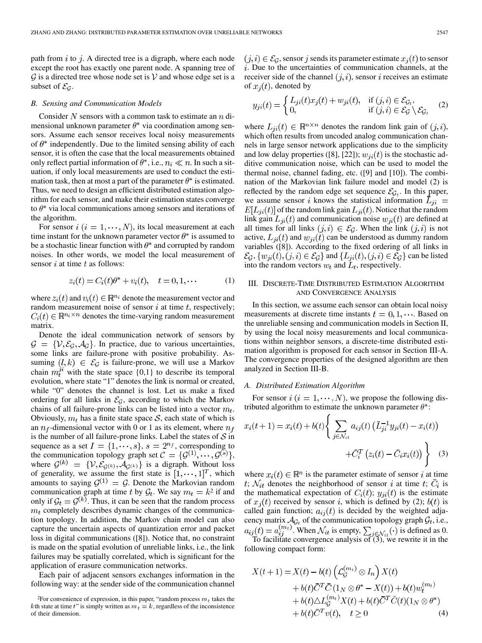path from  $i$  to  $j$ . A directed tree is a digraph, where each node except the root has exactly one parent node. A spanning tree of  $\mathcal G$  is a directed tree whose node set is  $\mathcal V$  and whose edge set is a subset of  $\mathcal{E}_G$ .

#### *B. Sensing and Communication Models*

Consider  $N$  sensors with a common task to estimate an  $n$  dimensional unknown parameter  $\theta^*$  via coordination among sensors. Assume each sensor receives local noisy measurements of  $\theta^*$  independently. Due to the limited sensing ability of each sensor, it is often the case that the local measurements obtained only reflect partial information of  $\theta^*$ , i.e.,  $n_i \ll n$ . In such a situation, if only local measurements are used to conduct the estimation task, then at most a part of the parameter  $\theta^*$  is estimated. Thus, we need to design an efficient distributed estimation algorithm for each sensor, and make their estimation states converge to  $\theta^*$  via local communications among sensors and iterations of the algorithm.

For sensor  $i$   $(i = 1, \dots, N)$ , its local measurement at each time instant for the unknown parameter vector  $\theta^*$  is assumed to be a stochastic linear function with  $\theta^*$  and corrupted by random noises. In other words, we model the local measurement of sensor  $i$  at time  $t$  as follows:

$$
z_i(t) = C_i(t)\theta^* + v_i(t), \quad t = 0, 1, \cdots
$$
 (1)

where  $z_i(t)$  and  $v_i(t) \in \mathbb{R}^{n_i}$  denote the measurement vector and random measurement noise of sensor  $i$  at time  $t$ , respectively;  $C_i(t) \in \mathbb{R}^{n_i \times n}$  denotes the time-varying random measurement matrix.

Denote the ideal communication network of sensors by  $\mathcal{G} = \{V, \mathcal{E}_{\mathcal{G}}, \mathcal{A}_{\mathcal{G}}\}\$ . In practice, due to various uncertainties, some links are failure-prone with positive probability. Assuming  $(l, k) \in \mathcal{E}_{\mathcal{G}}$  is failure-prone, we will use a Markov chain  $m_t^{ji}$  with the state space  $\{0,1\}$  to describe its temporal evolution, where state "1" denotes the link is normal or created, while "0" denotes the channel is lost. Let us make a fixed ordering for all links in  $\mathcal{E}_{\mathcal{G}}$ , according to which the Markov chains of all failure-prone links can be listed into a vector  $m_t$ . Obviously,  $m_t$  has a finite state space S, each state of which is an  $n_f$ -dimensional vector with 0 or 1 as its element, where  $n_f$ is the number of all failure-prone links. Label the states of  $S$  in sequence as a set  $I = \{1, \dots, s\}, s = 2^{n_f}$ , corresponding to the communication topology graph set  $C = \{G^{(1)}, \dots, G^{(s)}\},\$ where  $\mathcal{G}^{(k)} = \{ \mathcal{V}, \mathcal{E}_{\mathcal{G}^{(k)}}, \mathcal{A}_{\mathcal{G}^{(k)}} \}$  is a digraph. Without loss of generality, we assume the first state is  $[1, \dots, 1]^T$ , which amounts to saying  $\mathcal{G}^{(1)} = \mathcal{G}$ . Denote the Markovian random communication graph at time t by  $\mathcal{G}_t$ . We say  $m_t = k^2$  if and only if  $\mathcal{G}_t = \mathcal{G}^{(k)}$ . Thus, it can be seen that the random process  $m_t$  completely describes dynamic changes of the communication topology. In addition, the Markov chain model can also capture the uncertain aspects of quantization error and packet loss in digital communications ([8]). Notice that, no constraint is made on the spatial evolution of unreliable links, i.e., the link failures may be spatially correlated, which is significant for the application of erasure communication networks.

Each pair of adjacent sensors exchanges information in the following way: at the sender side of the communication channel  $(j, i) \in \mathcal{E}_{\mathcal{G}}$ , sensor j sends its parameter estimate  $x_i(t)$  to sensor . Due to the uncertainties of communication channels, at the receiver side of the channel  $(j, i)$ , sensor i receives an estimate of  $x_i(t)$ , denoted by

$$
y_{ji}(t) = \begin{cases} L_{ji}(t)x_j(t) + w_{ji}(t), & \text{if } (j,i) \in \mathcal{E}_{\mathcal{G}_t}, \\ 0, & \text{if } (j,i) \in \mathcal{E}_{\mathcal{G}} \setminus \mathcal{E}_{\mathcal{G}_t} \end{cases}
$$
 (2)

where  $L_{ji}(t) \in \mathbb{R}^{n \times n}$  denotes the random link gain of  $(j, i)$ , which often results from uncoded analog communication channels in large sensor network applications due to the simplicity and low delay properties ([8], [22]);  $w_{ii}(t)$  is the stochastic additive communication noise, which can be used to model the thermal noise, channel fading, etc. ([9] and [10]). The combination of the Markovian link failure model and model (2) is reflected by the random edge set sequence  $\mathcal{E}_{\mathcal{G}_t}$ . In this paper, we assume sensor i knows the statistical information  $L_{ii}$  =  $E[L_{ji}(t)]$  of the random link gain  $L_{ji}(t)$ . Notice that the random link gain  $L_{ii}(t)$  and communication noise  $w_{ii}(t)$  are defined at all times for all links  $(j, i) \in \mathcal{E}_{\mathcal{G}}$ . When the link  $(j, i)$  is not active,  $L_{ii}(t)$  and  $w_{ii}(t)$  can be understood as dummy random variables ([8]). According to the fixed ordering of all links in  $\mathcal{E}_{\mathcal{G}}$ ,  $\{w_{ji}(t), (j,i) \in \mathcal{E}_{\mathcal{G}}\}$  and  $\{L_{ji}(t), (j,i) \in \mathcal{E}_{\mathcal{G}}\}$  can be listed into the random vectors  $w_t$  and  $L_t$ , respectively.

## III. DISCRETE-TIME DISTRIBUTED ESTIMATION ALGORITHM AND CONVERGENCE ANALYSIS

In this section, we assume each sensor can obtain local noisy measurements at discrete time instants  $t = 0, 1, \dots$ . Based on the unreliable sensing and communication models in Section II, by using the local noisy measurements and local communications within neighbor sensors, a discrete-time distributed estimation algorithm is proposed for each sensor in Section III-A. The convergence properties of the designed algorithm are then analyzed in Section III-B.

#### *A. Distributed Estimation Algorithm*

For sensor  $i$   $(i = 1, \dots, N)$ , we propose the following distributed algorithm to estimate the unknown parameter  $\theta^*$ :

$$
x_i(t+1) = x_i(t) + b(t) \left\{ \sum_{j \in \mathcal{N}_{it}} a_{ij}(t) \left( \bar{L}_{ji}^{-1} y_{ji}(t) - x_i(t) \right) + \bar{C}_i^T \left( z_i(t) - \bar{C}_i x_i(t) \right) \right\}
$$
(3)

where  $x_i(t) \in \mathbb{R}^n$  is the parameter estimate of sensor i at time t;  $\mathcal{N}_{it}$  denotes the neighborhood of sensor i at time t;  $\overline{C}_i$  is the mathematical expectation of  $C_i(t)$ ;  $y_{ji}(t)$  is the estimate of  $x_i(t)$  received by sensor i, which is defined by (2);  $b(t)$  is called gain function;  $a_{ij}(t)$  is decided by the weighted adjacency matrix  $\mathcal{A}_{\mathcal{G}_t}$  of the communication topology graph  $\mathcal{G}_t$ , i.e., . When  $\mathcal{N}_{it}$  is empty,  $\sum_{i \in \mathcal{N}_{it}} (\cdot)$  is defined as 0.

To facilitate convergence analysis of  $(3)$ , we rewrite it in the following compact form:

$$
X(t+1) = X(t) - b(t) \left( \mathcal{L}_\mathcal{G}^{(m_t)} \otimes I_n \right) X(t)
$$
  
+ 
$$
b(t) \bar{C}^T \bar{C} (1_N \otimes \theta^* - X(t)) + b(t) w_t^{(m_t)}
$$
  
+ 
$$
b(t) \Delta L_\mathcal{G}^{(m_t)} X(t) + b(t) \bar{C}^T \tilde{C}(t) (1_N \otimes \theta^*)
$$
  
+ 
$$
b(t) \bar{C}^T v(t), \quad t \ge 0
$$
 (4)

<sup>&</sup>lt;sup>2</sup>For convenience of expression, in this paper, "random process  $m_t$  takes the If structure it is simply written as  $m_t = k$ , regardless of the inconsistence of their dimension.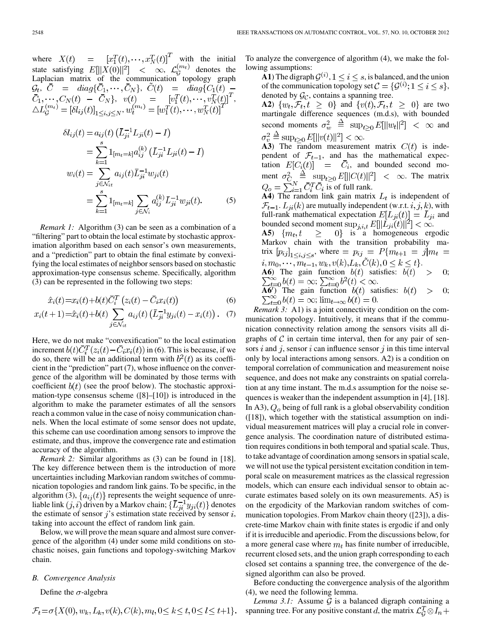where  $X(t) = [x_1^T(t), \dots, x_N^T(t)]^T$  with the initial state satisfying  $E[||X(0)||^2] < \infty$ ,  $\mathcal{L}_G^{(m_t)}$  denotes the Laplacian matrix of the communication topology graph  $C = diag\{C_1, \cdots, C_N\},\$  $v(t) = [v_1^T(t), \cdots, v_N^T(t)]^T$ ,

$$
\delta l_{ij}(t) = a_{ij}(t) \left( \overline{L}_{ji}^{-1} L_{ji}(t) - I \right)
$$
  
\n
$$
= \sum_{k=1}^{s} 1_{[m_t=k]} a_{ij}^{(k)} \left( \overline{L}_{ji}^{-1} L_{ji}(t) - I \right)
$$
  
\n
$$
w_i(t) = \sum_{j \in \mathcal{N}_{it}} a_{ij}(t) \overline{L}_{ji}^{-1} w_{ji}(t)
$$
  
\n
$$
= \sum_{k=1}^{s} 1_{[m_t=k]} \sum_{j \in \mathcal{N}_i} a_{ij}^{(k)} \overline{L}_{ji}^{-1} w_{ji}(t).
$$
 (5)

*Remark 1:* Algorithm (3) can be seen as a combination of a "filtering" part to obtain the local estimate by stochastic approximation algorithm based on each sensor's own measurements, and a "prediction" part to obtain the final estimate by convexifying the local estimates of neighbor sensors based on stochastic approximation-type consensus scheme. Specifically, algorithm (3) can be represented in the following two steps:

$$
\hat{x}_i(t) = x_i(t) + b(t)\bar{C}_i^T \left( z_i(t) - \bar{C}_i x_i(t) \right) \tag{6}
$$

$$
x_i(t+1) = \hat{x}_i(t) + b(t) \sum_{j \in \mathcal{N}_{ii}} a_{ij}(t) \left( \bar{L}_{ji}^{-1} y_{ji}(t) - x_i(t) \right). \tag{7}
$$

Here, we do not make "convexification" to the local estimation increment  $b(t)\overline{C_i^T}(z_i(t)-\overline{C_i}x_i(t))$  in (6). This is because, if we do so, there will be an additional term with  $b<sup>2</sup>(t)$  as its coefficient in the "prediction" part (7), whose influence on the convergence of the algorithm will be dominated by those terms with coefficient  $b(t)$  (see the proof below). The stochastic approximation-type consensus scheme ([8]–[10]) is introduced in the algorithm to make the parameter estimates of all the sensors reach a common value in the case of noisy communication channels. When the local estimate of some sensor does not update, this scheme can use coordination among sensors to improve the estimate, and thus, improve the convergence rate and estimation accuracy of the algorithm.

*Remark 2:* Similar algorithms as (3) can be found in [18]. The key difference between them is the introduction of more uncertainties including Markovian random switches of communication topologies and random link gains. To be specific, in the algorithm (3),  $\{a_{ij}(t)\}$  represents the weight sequence of unreliable link  $(j, i)$  driven by a Markov chain;  $\{\overline{L}_{ji}^{-1}y_{ji}(t)\}\$  denotes the estimate of sensor  $j$ 's estimation state received by sensor  $i$ , taking into account the effect of random link gain.

Below, we will prove the mean square and almost sure convergence of the algorithm (4) under some mild conditions on stochastic noises, gain functions and topology-switching Markov chain.

#### *B. Convergence Analysis*

Define the  $\sigma$ -algebra

$$
\mathcal{F}_t\!=\!\sigma\{X(0),w_k,L_k,v(k),C(k),m_l,0\!\leq\!k\!\leq\!t,0\!\leq\!l\!\leq\!t\!+\!1\}.
$$

To analyze the convergence of algorithm (4), we make the following assumptions:

**A1**) The digraph  $\mathcal{G}^{(i)}$ ,  $1 \leq i \leq s$ , is balanced, and the union of the communication topology set  $C = \{G^{(i)}; 1 \le i \le s\},\$ denoted by  $\mathcal{G}_{\mathcal{C}}$ , contains a spanning tree.

**A2**)  $\{w_t, \mathcal{F}_t, t \geq 0\}$  and  $\{v(t), \mathcal{F}_t, t \geq 0\}$  are two martingale difference sequences (m.d.s), with bounded second moments  $\sigma_w^2 \triangleq \sup_{t>0} E[||w_t||^2] < \infty$  and  $\sigma_v^2 \triangleq \sup_{t>0} E[||v(t)||^2] < \infty.$ 

 $\overrightarrow{A3}$ ) The random measurement matrix  $C(t)$  is independent of  $\mathcal{F}_{t-1}$ , and has the mathematical expectation  $E[C_i(t)] = \overline{C}_i$ , and bounded second moment  $\sigma_C^2 \triangleq \sup_{t>0} E[||C(t)||^2] < \infty$ . The matrix is of full rank.

**A4**) The random link gain matrix  $L_t$  is independent of  $\mathcal{F}_{t-1}$ .  $L_{ji}(k)$  are mutually independent (w.r.t.  $i, j, k$ ), with full-rank mathematical expectation  $E[L_{ji}(t)] = \bar{L}_{ji}$  and bounded second moment  $\sup_{j,i,t} E[||L_{ji}(t)||^2] < \infty$ .

**A5**)  $\{m_t, t \geq 0\}$  is a homogeneous ergodic Markov chain with the transition probability matrix  $[p_{ij}]_{1 \le i,j \le s}$ , where  $= p_{ij} = P{m_{t+1} = j|m_t = j}$  $i, m_0, \ldots, m_{t-1}, w_k, v(k), L_k, \tilde{C}(k), 0 \leq k \leq t$ .

- **A6**) The gain function  $b(t)$  satisfies:  $b(t) > 0$ ; ;  $\sum_{t=0}^{\infty} b^2(t) < \infty$ .
- **A6**<sup> $\prime$ </sup>) The gain function  $b(t)$  satisfies:  $b(t) > 0$ ; ;  $\lim_{t\to\infty} b(t) = 0$ .

*Remark 3:* A1) is a joint connectivity condition on the communication topology. Intuitively, it means that if the communication connectivity relation among the sensors visits all digraphs of  $C$  in certain time interval, then for any pair of sensors i and j, sensor i can influence sensor j in this time interval only by local interactions among sensors. A2) is a condition on temporal correlation of communication and measurement noise sequence, and does not make any constraints on spatial correlation at any time instant. The m.d.s assumption for the noise sequences is weaker than the independent assumption in [4], [18]. In A3),  $Q<sub>o</sub>$  being of full rank is a global observability condition ([18]), which together with the statistical assumption on individual measurement matrices will play a crucial role in convergence analysis. The coordination nature of distributed estimation requires conditions in both temporal and spatial scale. Thus, to take advantage of coordination among sensors in spatial scale, we will not use the typical persistent excitation condition in temporal scale on measurement matrices as the classical regression models, which can ensure each individual sensor to obtain accurate estimates based solely on its own measurements. A5) is on the ergodicity of the Markovian random switches of communication topologies. From Markov chain theory ([23]), a discrete-time Markov chain with finite states is ergodic if and only if it is irreducible and aperiodic. From the discussions below, for a more general case where  $m_t$  has finite number of irreducible, recurrent closed sets, and the union graph corresponding to each closed set contains a spanning tree, the convergence of the designed algorithm can also be proved.

Before conducting the convergence analysis of the algorithm (4), we need the following lemma.

*Lemma 3.1:* Assume  $G$  is a balanced digraph containing a spanning tree. For any positive constant d, the matrix  $\mathcal{L}_{\mathcal{G}}^T \otimes I_n +$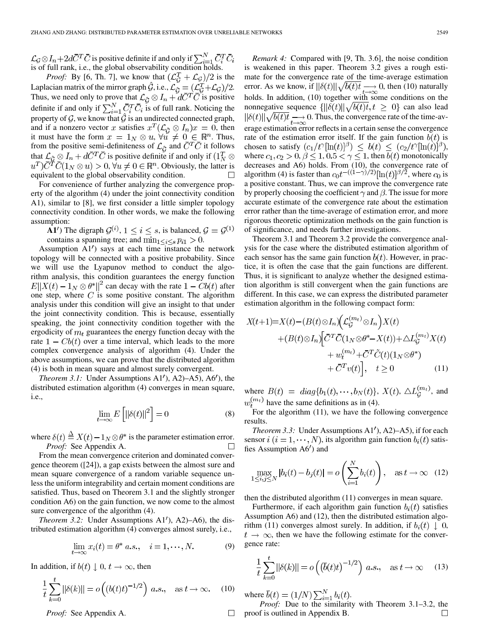is positive definite if and only if is of full rank, i.e., the global observability condition holds.

*Proof:* By [6, Th. 7], we know that  $(\mathcal{L}_G^T + \mathcal{L}_G)/2$  is the Laplacian matrix of the mirror graph G, i.e.,  $\mathcal{L}_{\hat{G}} = (\mathcal{L}_G^T + \mathcal{L}_G)/2$ . Thus, we need only to prove that  $\mathcal{L}_{\hat{G}} \otimes I_n + dC^T C$  is positive definite if and only if  $\sum_{i=1}^{N} C_i^T C_i$  is of full rank. Noticing the property of  $\mathcal G$ , we know that  $\hat{\mathcal G}$  is an undirected connected graph, and if a nonzero vector x satisfies  $x^T(\mathcal{L}_{\hat{C}} \otimes I_n)x = 0$ , then it must have the form  $x = 1_N \otimes u$ ,  $\forall u \neq 0 \in \mathbb{R}^n$ . Thus, from the positive semi-definiteness of  $\mathcal{L}_{\hat{G}}$  and  $\bar{C}^T \bar{C}$  it follows that  $\mathcal{L}_{\hat{G}} \otimes I_n + d\overline{C}^T \overline{C}$  is positive definite if and only if  $(1_N^T \otimes I_n^T)$  $u^T$ ) $\overline{C}^T \overline{C}(1_N \otimes u) > 0$ ,  $\forall u \neq 0 \in \mathbb{R}^n$ . Obviously, the latter is equivalent to the global observability condition.  $\Box$ 

For convenience of further analyzing the convergence property of the algorithm (4) under the joint connectivity condition A1), similar to [8], we first consider a little simpler topology connectivity condition. In other words, we make the following assumption:

**A1'**) The digraph  $\mathcal{G}^{(i)}$ ,  $1 \leq i \leq s$ , is balanced,  $\mathcal{G} = \mathcal{G}^{(1)}$ contains a spanning tree; and  $\min_{1 \leq i \leq s} p_{i1} > 0$ .

Assumption  $A1'$ ) says at each time instance the network topology will be connected with a positive probability. Since we will use the Lyapunov method to conduct the algorithm analysis, this condition guarantees the energy function can decay with the rate  $1 - Cb(t)$  after one step, where  $C$  is some positive constant. The algorithm analysis under this condition will give an insight to that under the joint connectivity condition. This is because, essentially speaking, the joint connectivity condition together with the ergodicity of  $m_t$  guarantees the energy function decay with the rate  $1 - Cb(t)$  over a time interval, which leads to the more complex convergence analysis of algorithm (4). Under the above assumptions, we can prove that the distributed algorithm (4) is both in mean square and almost surely convergent.

*Theorem 3.1:* Under Assumptions  $A1'$ ,  $A2$ )– $A5$ ,  $A6'$ , the distributed estimation algorithm (4) converges in mean square, i.e.,

$$
\lim_{t \to \infty} E\left[ \left\| \delta(t) \right\|^2 \right] = 0 \tag{8}
$$

where  $\delta(t) \stackrel{\Delta}{=} X(t) - 1_N \otimes \theta^*$  is the parameter estimation error. *Proof:* See Appendix A.  $\Box$ 

From the mean convergence criterion and dominated convergence theorem ([24]), a gap exists between the almost sure and mean square convergence of a random variable sequence unless the uniform integrability and certain moment conditions are satisfied. Thus, based on Theorem 3.1 and the slightly stronger condition A6) on the gain function, we now come to the almost sure convergence of the algorithm (4).

*Theorem 3.2:* Under Assumptions  $A1'$ ,  $A2$ )– $A6$ , the distributed estimation algorithm (4) converges almost surely, i.e.,

$$
\lim_{t \to \infty} x_i(t) = \theta^* a.s., \quad i = 1, \cdots, N.
$$
 (9)

In addition, if  $b(t) \downarrow 0, t \to \infty$ , then

$$
\frac{1}{t} \sum_{k=0}^{t} ||\delta(k)|| = o\left( (b(t)t)^{-1/2} \right) \ a.s., \quad \text{as } t \to \infty. \tag{10}
$$

*Proof:* See Appendix A. 
$$
\Box
$$

*Remark 4:* Compared with [9, Th. 3.6], the noise condition is weakened in this paper. Theorem 3.2 gives a rough estimate for the convergence rate of the time-average estimation error. As we know, if  $\|\delta(t)\| \sqrt{b(t)}t \longrightarrow 0$ , then (10) naturally holds. In addition, (10) together with some conditions on the nonnegative sequence  $\{||\delta(t)||\sqrt{b(t)t}, t \geq 0\}$  can also lead  $\|\delta(t)\| \sqrt{b(t)t} \rightarrow 0$ . Thus, the convergence rate of the time-average estimation error reflects in a certain sense the convergence rate of the estimation error itself. If the gain function  $b(t)$  is chosen to satisfy  $(c_1/t^{\gamma}[\ln(t)]^{\beta}) \leq b(t) \leq (c_2/t^{\gamma}[\ln(t)]^{\beta}),$ where  $c_1, c_2 > 0, \beta \leq 1, 0.5 < \gamma \leq 1$ , then  $b(t)$  monotonically decreases and A6) holds. From (10), the convergence rate of algorithm (4) is faster than  $c_0 t^{-((1-\gamma)/2)} [\ln(t)]^{\beta/2}$ , where  $c_0$  is a positive constant. Thus, we can improve the convergence rate by properly choosing the coefficient  $\gamma$  and  $\beta$ . The issue for more accurate estimate of the convergence rate about the estimation error rather than the time-average of estimation error, and more rigorous theoretic optimization methods on the gain function is of significance, and needs further investigations.

Theorem 3.1 and Theorem 3.2 provide the convergence analysis for the case where the distributed estimation algorithm of each sensor has the same gain function  $b(t)$ . However, in practice, it is often the case that the gain functions are different. Thus, it is significant to analyze whether the designed estimation algorithm is still convergent when the gain functions are different. In this case, we can express the distributed parameter estimation algorithm in the following compact form:

$$
X(t+1)=X(t)-(B(t)\otimes I_n)\Big(\mathcal{L}_\mathcal{G}^{(m_t)}\otimes I_n\Big)X(t)
$$
  
+
$$
(B(t)\otimes I_n)\Big[\bar{C}^T\bar{C}(1_N\otimes\theta^*-X(t))+\Delta L_\mathcal{G}^{(m_t)}X(t)
$$
  
+
$$
w_t^{(m_t)}+\bar{C}^T\tilde{C}(t)(1_N\otimes\theta^*)
$$
  
+
$$
\bar{C}^Tv(t)\Big], \quad t\geq 0
$$
 (11)

where  $B(t) = diag{b_1(t), \cdots, b_N(t)}$ ,  $X(t)$ ,  $\Delta L_G^{(m_t)}$ , and  $w_t^{(m_t)}$  have the same definitions as in (4).

For the algorithm (11), we have the following convergence results.

*Theorem 3.3:* Under Assumptions  $A1'$ ,  $A2$ – $A5$ , if for each sensor  $i$   $(i = 1, \dots, N)$ , its algorithm gain function  $b_i(t)$  satisfies Assumption  $A6'$  and

$$
\max_{1 \le i,j \le N} |b_i(t) - b_j(t)| = o\left(\sum_{i=1}^N b_i(t)\right), \quad \text{as } t \to \infty \quad (12)
$$

then the distributed algorithm (11) converges in mean square.

Furthermore, if each algorithm gain function  $b_i(t)$  satisfies Assumption A6) and (12), then the distributed estimation algorithm (11) converges almost surely. In addition, if  $b_i(t) \perp 0$ ,  $t \to \infty$ , then we have the following estimate for the convergence rate:

$$
\frac{1}{t}\sum_{k=0}^{t}||\delta(k)|| = o\left(\left(\overline{b}(t)t\right)^{-1/2}\right) a.s., \quad \text{as } t \to \infty \quad (13)
$$

where  $b(t) = (1/N) \sum_{i=1}^{N} b_i(t)$ .

*Proof:* Due to the similarity with Theorem 3.1–3.2, the proof is outlined in Appendix B. $\Box$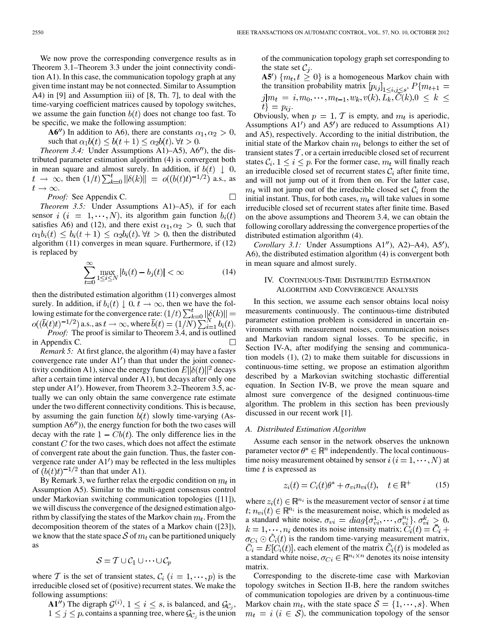We now prove the corresponding convergence results as in Theorem 3.1–Theorem 3.3 under the joint connectivity condition A1). In this case, the communication topology graph at any given time instant may be not connected. Similar to Assumption A4) in [9] and Assumption iii) of [8, Th. 7], to deal with the time-varying coefficient matrices caused by topology switches, we assume the gain function  $b(t)$  does not change too fast. To be specific, we make the following assumption:

**A6<sup>** $\prime\prime$ **</sup>)** In addition to A6), there are constants  $\alpha_1, \alpha_2 > 0$ , such that  $\alpha_1 b(t) \leq b(t+1) \leq \alpha_2 b(t)$ ,  $\forall t > 0$ .

*Theorem 3.4:* Under Assumptions A1)–A5), A6"), the distributed parameter estimation algorithm (4) is convergent both in mean square and almost surely. In addition, if  $b(t) \perp 0$ , , then  $(1/t) \sum_{k=0}^{t} ||\delta(k)|| = o((b(t)t)^{-1/2})$  a.s., as  $t\to\infty$ .  $\Box$ 

*Proof:* See Appendix C.

*Theorem 3.5:* Under Assumptions A1)–A5), if for each sensor  $i$   $(i = 1, \dots, N)$ , its algorithm gain function  $b_i(t)$ satisfies A6) and (12), and there exist  $\alpha_1, \alpha_2 > 0$ , such that  $\alpha_1 b_i(t) \leq b_i(t+1) \leq \alpha_2 b_i(t)$ ,  $\forall t > 0$ , then the distributed algorithm (11) converges in mean square. Furthermore, if (12) is replaced by

$$
\sum_{t=0}^{\infty} \max_{1 \le i \le N} |b_i(t) - b_j(t)| < \infty \tag{14}
$$

then the distributed estimation algorithm (11) converges almost surely. In addition, if  $b_i(t) \downarrow 0, t \to \infty$ , then we have the following estimate for the convergence rate:  $(1/t) \sum_{k=0}^{t} ||\delta(k)||$  =  $o((\overline{b}(t)t)^{-1/2})$  a.s., as  $t \to \infty$ , where  $\overline{b}(t) = (1/N) \sum_{i=1}^{N} b_i(t)$ . *Proof:* The proof is similar to Theorem 3.4, and is outlined

in Appendix C.

*Remark 5:* At first glance, the algorithm (4) may have a faster convergence rate under  $A1'$ ) than that under the joint connectivity condition A1), since the energy function  $E||\delta(t)||^2$  decays after a certain time interval under A1), but decays after only one step under  $A1'$ ). However, from Theorem 3.2–Theorem 3.5, actually we can only obtain the same convergence rate estimate under the two different connectivity conditions. This is because, by assuming the gain function  $b(t)$  slowly time-varying (Assumption  $A6''$ ), the energy function for both the two cases will decay with the rate  $1 - Cb(t)$ . The only difference lies in the constant  $C$  for the two cases, which does not affect the estimate of convergent rate about the gain function. Thus, the faster convergence rate under  $A1'$ ) may be reflected in the less multiples of  $(b(t)t)^{-1/2}$  than that under A1).

By Remark 3, we further relax the ergodic condition on  $m_t$  in Assumption A5). Similar to the multi-agent consensus control under Markovian switching communication topologies ([11]), we will discuss the convergence of the designed estimation algorithm by classifying the states of the Markov chain  $m_t$ . From the decomposition theorem of the states of a Markov chain ([23]), we know that the state space  $S$  of  $m_t$  can be partitioned uniquely as

$$
\mathcal{S} = \mathcal{T} \cup \mathcal{C}_1 \cup \cdots \cup \mathcal{C}_p
$$

where T is the set of transient states,  $\mathcal{C}_i$   $(i = 1, \dots, p)$  is the irreducible closed set of (positive) recurrent states. We make the following assumptions:

**A1**<sup>*n*</sup>) The digraph  $G^{(i)}$ ,  $1 \le i \le s$ , is balanced, and  $\mathcal{G}_{C_j}$ ,  $1 \le j \le p$ , contains a spanning tree, where  $\mathcal{G}_{C_j}$  is the union of the communication topology graph set corresponding to the state set  $C_i$ .

**A5'** 
$$
\{m_t, t \ge 0\}
$$
 is a homogeneous Markov chain with  
the transition probability matrix  $[p_{ij}]_{1 \le i,j \le s}, P\{m_{t+1} =$   
 $j|m_t = i, m_0, \dots, m_{t-1}, w_k, v(k), L_k, \tilde{C}(k), 0 \le k \le t\}$   
 $t \} = p_{ij}.$ 

Obviously, when  $p = 1$ , T is empty, and  $m_t$  is aperiodic, Assumptions  $A1'$  and  $A5'$  are reduced to Assumptions  $A1$ ) and A5), respectively. According to the initial distribution, the initial state of the Markov chain  $m_t$  belongs to either the set of transient states  $\mathcal T$ , or a certain irreducible closed set of recurrent states  $\mathcal{C}_i$ ,  $1 \leq i \leq p$ . For the former case,  $m_t$  will finally reach an irreducible closed set of recurrent states  $C_i$  after finite time, and will not jump out of it from then on. For the latter case,  $m_t$  will not jump out of the irreducible closed set  $\mathcal{C}_i$  from the initial instant. Thus, for both cases,  $m_t$  will take values in some irreducible closed set of recurrent states after finite time. Based on the above assumptions and Theorem 3.4, we can obtain the following corollary addressing the convergence properties of the distributed estimation algorithm (4).

*Corollary 3.1:* Under Assumptions A1"), A2)–A4), A5'), A6), the distributed estimation algorithm (4) is convergent both in mean square and almost surely.

# IV. CONTINUOUS-TIME DISTRIBUTED ESTIMATION ALGORITHM AND CONVERGENCE ANALYSIS

In this section, we assume each sensor obtains local noisy measurements continuously. The continuous-time distributed parameter estimation problem is considered in uncertain environments with measurement noises, communication noises and Markovian random signal losses. To be specific, in Section IV-A, after modifying the sensing and communication models (1), (2) to make them suitable for discussions in continuous-time setting, we propose an estimation algorithm described by a Markovian switching stochastic differential equation. In Section IV-B, we prove the mean square and almost sure convergence of the designed continuous-time algorithm. The problem in this section has been previously discussed in our recent work [1].

#### *A. Distributed Estimation Algorithm*

Assume each sensor in the network observes the unknown parameter vector  $\theta^* \in \mathbb{R}^n$  independently. The local continuoustime noisy measurement obtained by sensor  $i$   $(i = 1, \dots, N)$  at time  $t$  is expressed as

$$
z_i(t) = C_i(t)\theta^* + \sigma_{vi}n_{vi}(t), \quad t \in \mathbb{R}^+ \tag{15}
$$

where  $z_i(t) \in \mathbb{R}^{n_i}$  is the measurement vector of sensor i at time  $t; n_{vi}(t) \in \mathbb{R}^{n_i}$  is the measurement noise, which is modeled as a standard white noise,  $\sigma_{vi} = diag\{\sigma_{vi}^1, \cdots, \sigma_{vi}^{n_i}\}, \sigma_{vi}^k > 0$ , denotes its noise intensity matrix;  $\sigma_{Ci} \odot \tilde{C}_i(t)$  is the random time-varying measurement matrix,  $\overline{C}_i = E[C_i(t)]$ , each element of the matrix  $\overline{C}_i(t)$  is modeled as a standard white noise,  $\sigma_{Ci} \in \mathbb{R}^{n_i \times n}$  denotes its noise intensity matrix.

Corresponding to the discrete-time case with Markovian topology switches in Section II-B, here the random switches of communication topologies are driven by a continuous-time Markov chain  $m_t$ , with the state space  $S = \{1, \dots, s\}$ . When  $m_t = i$  ( $i \in S$ ), the communication topology of the sensor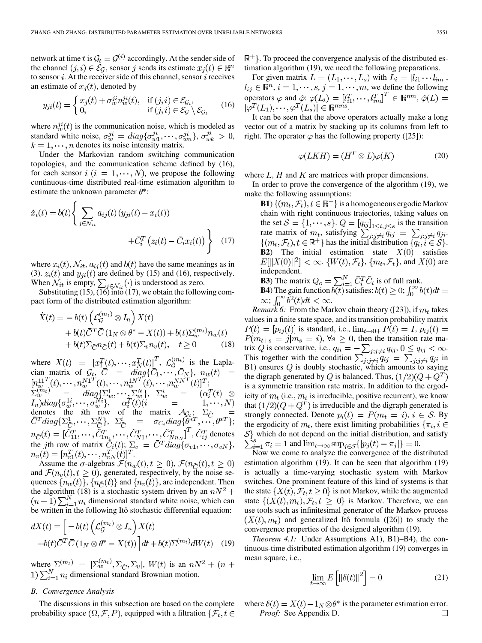network at time t is  $\mathcal{G}_t = \mathcal{G}^{(i)}$  accordingly. At the sender side of the channel  $(j, i) \in \mathcal{E}_{\mathcal{G}}$ , sensor j sends its estimate  $x_j(t) \in \mathbb{R}^n$ to sensor  $i$ . At the receiver side of this channel, sensor  $i$  receives an estimate of  $x_i(t)$ , denoted by

$$
y_{ji}(t) = \begin{cases} x_j(t) + \sigma_w^{ji} n_w^{ji}(t), & \text{if } (j, i) \in \mathcal{E}_{\mathcal{G}_t}, \\ 0, & \text{if } (j, i) \in \mathcal{E}_{\mathcal{G}} \setminus \mathcal{E}_{\mathcal{G}_t} \end{cases}
$$
 (16)

where  $n_w^{ji}(t)$  is the communication noise, which is modeled as standard white noise,  $\sigma_w^{ji} = diag\{\sigma_{w1}^{ji}, \cdots, \sigma_{wn}^{ji}\}, \sigma_{wk}^{ji} > 0$ ,  $k = 1, \dots, n$  denotes its noise intensity matrix.

Under the Markovian random switching communication topologies, and the communication scheme defined by (16), for each sensor  $i$   $(i = 1, \dots, N)$ , we propose the following continuous-time distributed real-time estimation algorithm to estimate the unknown parameter  $\theta^*$ :

$$
\dot{x}_i(t) = b(t) \left\{ \sum_{j \in \mathcal{N}_{it}} a_{ij}(t) \left( y_{ji}(t) - x_i(t) \right) + \bar{C}_i^T \left( z_i(t) - \bar{C}_i x_i(t) \right) \right\}
$$
(17)

where  $x_i(t)$ ,  $\mathcal{N}_{it}$ ,  $a_{ij}(t)$  and  $b(t)$  have the same meanings as in (3).  $z_i(t)$  and  $y_{ii}(t)$  are defined by (15) and (16), respectively. When  $\mathcal{N}_{it}$  is empty,  $\sum_{i \in \mathcal{N}_{it}}(\cdot)$  is understood as zero.

Substituting  $(15)$ ,  $(16)$  into  $(17)$ , we obtain the following compact form of the distributed estimation algorithm:

 $\mathcal{L}^{\mathcal{A}}$ 

$$
\dot{X}(t) = -b(t) \left( \mathcal{L}_\mathcal{G}^{(m_t)} \otimes I_n \right) X(t) \n+ b(t) \bar{C}^T \bar{C} (1_N \otimes \theta^* - X(t)) + b(t) \Sigma_w^{(m_t)} n_w(t) \n+ b(t) \Sigma_{\tilde{C}} n_{\tilde{C}}(t) + b(t) \Sigma_v n_v(t), \quad t \ge 0
$$
\n(18)

where  $X(t) = [x_1^T(t), \dots, x_N^T(t)]^T$ ,  $\mathcal{L}_G^{(m_t)}$  is the Laplacian matrix of  $\mathcal{G}_t$ ,  $C = diag\{C_1, \dots, C_N\},\$ ; , , denotes the *i*th row of the matrix  $\mathcal{A}_{\mathcal{G}_t}$ ;  $\sum_{\tilde{C}} \quad = \quad \sigma_{C_i} diag\{\theta^{*T}, \cdots, \theta^{*T}\};$ ,  $C_{ij}^I$  denotes the jth row of matrix  $C_i(t)$ ;  $\Sigma_v = C^T diag\{\sigma_{v1}, \cdots, \sigma_{vN}\},$  $n_v(\check{t}) = [n_{v1}^T(t), \cdots, n_{vN}^T(\check{t})]^T.$ 

Assume the  $\sigma$ -algebras  $\mathcal{F}(n_w(t), t \ge 0)$ ,  $\mathcal{F}(n_{\tilde{C}}(t), t \ge 0)$ and  $\mathcal{F}(n_v(t), t \geq 0)$ , generated, respectively, by the noise sequences  $\{n_w(t)\}\$ ,  $\{n_{\tilde{C}}(t)\}\$  and  $\{n_v(t)\}\$ , are independent. Then the algorithm (18) is a stochastic system driven by an  $nN^2$  +  $(n+1)\sum_{i=1}^{N} n_i$  dimensional standard white noise, which can be written in the following Itô stochastic differential equation:

$$
dX(t) = \left[ -b(t) \left( \mathcal{L}_\mathcal{G}^{(m_t)} \otimes I_n \right) X(t) + b(t) \bar{C}^T \bar{C} (1_N \otimes \theta^* - X(t)) \right] dt + b(t) \Sigma^{(m_t)} dW(t) \quad (19)
$$

where  $\Sigma^{(m_t)} = [\Sigma^{(m_t)}_w, \Sigma_{\tilde{C}}, \Sigma_v]$ ,  $W(t)$  is an  $nN^2 + (n +$ 1)  $\sum_{i=1}^{N} n_i$  dimensional standard Brownian motion.

#### *B. Convergence Analysis*

The discussions in this subsection are based on the complete probability space  $(\Omega, \mathcal{F}, P)$ , equipped with a filtration  $\{\mathcal{F}_t, t \in$   $\mathbb{R}^+$ . To proceed the convergence analysis of the distributed estimation algorithm (19), we need the following preparations.

For given matrix  $L = (L_1, \dots, L_s)$  with  $L_i = [l_{i1} \dots l_{im}],$  $l_{ij} \in \mathbb{R}^n$ ,  $i = 1, \dots, s$ ,  $j = 1, \dots, m$ , we define the following operators  $\varphi$  and  $\hat{\varphi}$ :  $\varphi(L_i) = [l_{i1}^T, \cdots, l_{im}^T]^T \in \mathbb{R}^{nm}, \hat{\varphi}(L) =$  $[\varphi^T(L_1), \cdots, \varphi^T(L_s)] \in \mathbb{R}^{mns}$ .

It can be seen that the above operators actually make a long vector out of a matrix by stacking up its columns from left to right. The operator  $\varphi$  has the following property ([25]):

$$
\varphi(LKH) = (H^T \otimes L)\varphi(K) \tag{20}
$$

where  $L$ ,  $H$  and  $K$  are matrices with proper dimensions.

In order to prove the convergence of the algorithm (19), we make the following assumptions:

**B1**)  $\{(m_t, \mathcal{F}_t), t \in \mathbb{R}^+\}$  is a homogeneous ergodic Markov chain with right continuous trajectories, taking values on the set  $S = \{1, \dots, s\}$ .  $Q = [q_{ij}]_{1 \le i \le s}$  is the transition rate matrix of  $m_t$ , satisfying  $\sum_{i:i \neq i} \overline{q_{ij}} = \sum_{i:i \neq i} q_{ii}$ . has the initial distribution  $\{q_i, i \in S\}$ . **B2**) The initial estimation state  $X(0)$  satisfies  $E[||X(0)||^2] < \infty$ . { $W(t), \mathcal{F}_t$ }, { $m_t, \mathcal{F}_t$ }, and  $X(0)$  are independent.

**B3**) The matrix  $Q_o = \sum_{i=1}^{N} C_i^T C_i$  is of full rank.

**B4**) The gain function  $b(t)$  satisfies:  $b(t) \geq 0$ ; ;  $\int_0^\infty b^2(t)dt < \infty$ .

*Remark 6:* From the Markov chain theory ([23]), if  $m_t$  takes values in a finite state space, and its transition probability matrix  $P(t) = [p_{ij}(t)]$  is standard, i.e.,  $\lim_{t\to 0+} P(t) = I$ ,  $p_{ij}(t) =$  $P(m_{t+s} = j|m_s = i), \forall s \ge 0$ , then the transition rate matrix Q is conservative, i.e.,  $q_{ii} = -\sum_{i \cdot i \neq i} q_{ij}, 0 \leq q_{ij} < \infty$ . This together with the condition  $\sum_{i:i\neq i} q_{ij} = \sum_{i:i\neq i} q_{ji}$  in B1) ensures  $Q$  is doubly stochastic, which amounts to saying the digraph generated by Q is balanced. Thus,  $(1/2)(Q + Q<sup>T</sup>)$ is a symmetric transition rate matrix. In addition to the ergodicity of  $m_t$  (i.e.,  $m_t$  is irreducible, positive recurrent), we know that  $(1/2)(Q + Q<sup>T</sup>)$  is irreducible and the digraph generated is strongly connected. Denote  $p_i(t) = P(m_t = i), i \in S$ . By the ergodicity of  $m_t$ , there exist limiting probabilities  $\{\pi_i, i \in$  $S$  which do not depend on the initial distribution, and satisfy  $\sum_{i=1}^s \pi_i = 1$  and  $\lim_{t \to \infty} \sup_{j \in S} {\vert p_j(t) - \pi_j \vert} = 0$ .

Now we come to analyze the convergence of the distributed estimation algorithm (19). It can be seen that algorithm (19) is actually a time-varying stochastic system with Markov switches. One prominent feature of this kind of systems is that the state  $\{X(t), \mathcal{F}_t, t \geq 0\}$  is not Markov, while the augmented state  $\{(X(t), m_t), \mathcal{F}_t, t \geq 0\}$  is Markov. Therefore, we can use tools such as infinitesimal generator of the Markov process  $(X(t), m_t)$  and generalized Itô formula ([26]) to study the convergence properties of the designed algorithm (19).

*Theorem 4.1:* Under Assumptions A1), B1)–B4), the continuous-time distributed estimation algorithm (19) converges in mean square, i.e.,

$$
\lim_{t \to \infty} E\left[ \left| |\delta(t)| \right|^2 \right] = 0 \tag{21}
$$

where  $\delta(t) = X(t) - 1_N \otimes \theta^*$  is the parameter estimation error. *Proof:* See Appendix D. $\Box$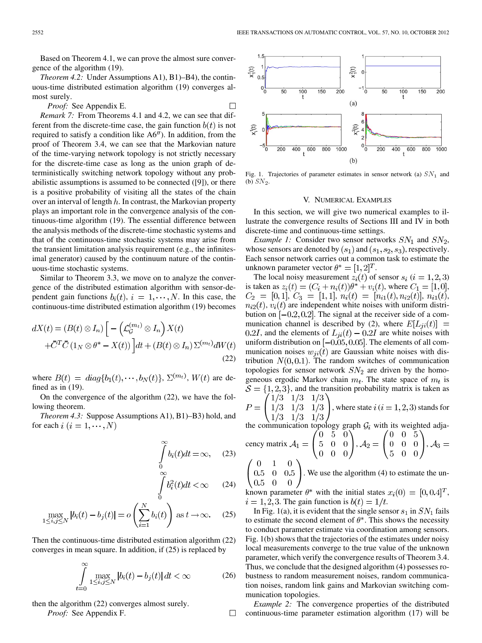Based on Theorem 4.1, we can prove the almost sure convergence of the algorithm (19).

*Theorem 4.2:* Under Assumptions A1), B1)–B4), the continuous-time distributed estimation algorithm (19) converges almost surely.

*Proof:* See Appendix E.  $\Box$ 

*Remark 7:* From Theorems 4.1 and 4.2, we can see that different from the discrete-time case, the gain function  $b(t)$  is not required to satisfy a condition like  $A6''$ ). In addition, from the proof of Theorem 3.4, we can see that the Markovian nature of the time-varying network topology is not strictly necessary for the discrete-time case as long as the union graph of deterministically switching network topology without any probabilistic assumptions is assumed to be connected ([9]), or there is a positive probability of visiting all the states of the chain over an interval of length  $h$ . In contrast, the Markovian property plays an important role in the convergence analysis of the continuous-time algorithm (19). The essential difference between the analysis methods of the discrete-time stochastic systems and that of the continuous-time stochastic systems may arise from the transient limitation analysis requirement (e.g., the infinitesimal generator) caused by the continuum nature of the continuous-time stochastic systems.

Similar to Theorem 3.3, we move on to analyze the convergence of the distributed estimation algorithm with sensor-dependent gain functions  $b_i(t)$ ,  $i = 1, \dots, N$ . In this case, the continuous-time distributed estimation algorithm (19) becomes

$$
dX(t) = (B(t) \otimes I_n) \left[ -\left( \mathcal{L}_\mathcal{G}^{(m_t)} \otimes I_n \right) X(t) + \bar{C}^T \bar{C} \left( 1_N \otimes \theta^* - X(t) \right) \right] dt + (B(t) \otimes I_n) \Sigma^{(m_t)} dW(t)
$$
\n(22)

where  $B(t) = diag{b_1(t), \dots, b_N(t)}$ ,  $\Sigma^{(m_t)}$ ,  $W(t)$  are defined as in  $(19)$ .

On the convergence of the algorithm (22), we have the following theorem.

*Theorem 4.3:* Suppose Assumptions A1), B1)–B3) hold, and for each  $i$   $(i = 1, \dots, N)$ 

$$
\int_{0}^{\infty} b_i(t)dt = \infty, \quad (23)
$$

$$
\int_{0}^{\infty} b_i^2(t)dt < \infty \quad (24)
$$

$$
\max_{1 \le i,j \le N} |b_i(t) - b_j(t)| = o\left(\sum_{i=1}^N b_i(t)\right) \text{ as } t \to \infty.
$$
 (25)

Then the continuous-time distributed estimation algorithm (22) converges in mean square. In addition, if (25) is replaced by

$$
\int_{t=0}^{\infty} \max_{1 \le i,j \le N} |b_i(t) - b_j(t)| dt < \infty
$$
 (26)

 $\Box$ 

then the algorithm (22) converges almost surely. *Proof:* See Appendix F.



Fig. 1. Trajectories of parameter estimates in sensor network (a)  $SN_1$  and (b)  $SN_2$ .

#### V. NUMERICAL EXAMPLES

In this section, we will give two numerical examples to illustrate the convergence results of Sections III and IV in both discrete-time and continuous-time settings.

*Example 1:* Consider two sensor networks  $SN_1$  and  $SN_2$ , whose sensors are denoted by  $(s_1)$  and  $(s_1, s_2, s_3)$ , respectively. Each sensor network carries out a common task to estimate the unknown parameter vector  $\theta^* = [1, 2]^T$ .

The local noisy measurement  $z_i(t)$  of sensor  $s_i$   $(i = 1, 2, 3)$ is taken as  $z_i(t) = (C_i + n_i(t))\theta^* + v_i(t)$ , where  $C_1 = [1, 0]$ ,  $C_2 = [0,1], C_3 = [1,1], n_i(t) = [n_{i1}(t), n_{i2}(t)], n_{i1}(t),$  $n_{i2}(t)$ ,  $v_i(t)$  are independent white noises with uniform distribution on  $[-0.2, 0.2]$ . The signal at the receiver side of a communication channel is described by (2), where  $E[L_{ji}(t)] =$ 0.2*I*, and the elements of  $L_{ii}(t) - 0.2I$  are white noises with uniform distribution on  $[-0.05, 0.05]$ . The elements of all communication noises  $w_{ji}(t)$  are Gaussian white noises with distribution  $N(0,0.1)$ . The random switches of communication topologies for sensor network  $SN_2$  are driven by the homogeneous ergodic Markov chain  $m_t$ . The state space of  $m_t$  is  $S = \{1, 2, 3\}$ , and the transition probability matrix is taken as  $1/3$   $1/3$  $1/3$ 

 $1/3$ , where state  $i$   $(i = 1, 2, 3)$  stands for  $1/3$   $1/3$  $1/3$   $1/3$  $1/3$ 

the communication topology graph  $G_i$  with its weighted adja-<br> $(0\quad 5\quad 0)$   $(0\quad 0\quad 5)$  $\begin{pmatrix} 0 & 0 & 5 \end{pmatrix}$ 

$$
\begin{aligned}\n\text{cency matrix } \mathcal{A}_1 &= \begin{pmatrix} 5 & 0 & 0 \\ 0 & 0 & 0 \end{pmatrix}, \mathcal{A}_2 = \begin{pmatrix} 0 & 0 & 0 \\ 5 & 0 & 0 \end{pmatrix}, \mathcal{A}_3 = \begin{pmatrix} 0 & 1 & 0 \end{pmatrix}\n\end{aligned}
$$

 $0 \quad 0.5$  . We use the algorithm (4) to estimate the un- $0.5$  $0.5\quad 0$ 

known parameter  $\theta^*$  with the initial states  $x_i(0) = [0, 0.4]^T$ ,  $i = 1, 2, 3$ . The gain function is  $b(t) = 1/t$ .

In Fig. 1(a), it is evident that the single sensor  $s_1$  in  $SN_1$  fails to estimate the second element of  $\theta^*$ . This shows the necessity to conduct parameter estimate via coordination among sensors. Fig. 1(b) shows that the trajectories of the estimates under noisy local measurements converge to the true value of the unknown parameter, which verify the convergence results of Theorem 3.4. Thus, we conclude that the designed algorithm (4) possesses robustness to random measurement noises, random communication noises, random link gains and Markovian switching communication topologies.

*Example 2:* The convergence properties of the distributed continuous-time parameter estimation algorithm (17) will be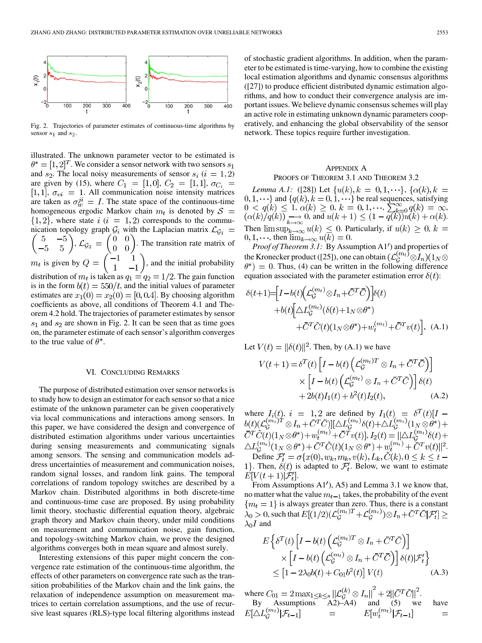

Fig. 2. Trajectories of parameter estimates of continuous-time algorithms by sensor  $s_1$  and  $s_2$ .

illustrated. The unknown parameter vector to be estimated is  $\theta^* = [1, 2]^T$ . We consider a sensor network with two sensors  $s_1$ and  $s_2$ . The local noisy measurements of sensor  $s_i$   $(i = 1, 2)$ are given by (15), where  $C_1 = [1,0], C_2 = [1,1], \sigma_{C_i} =$ [1, 1],  $\sigma_{vi}$  = 1. All communication noise intensity matrices are taken as  $\sigma_w^{ji} = I$ . The state space of the continuous-time homogeneous ergodic Markov chain  $m_t$  is denoted by  $S =$  $\{1, 2\}$ , where state  $i$  ( $i = 1, 2$ ) corresponds to the communication topology graph  $\mathcal{G}_i$  with the Laplacian matrix  $\mathcal{L}_{\mathcal{G}_1}$  = ,  $\mathcal{L}_{\mathcal{G}_2} = \begin{pmatrix} 0 & 0 \\ 0 & 0 \end{pmatrix}$ . The transition rate matrix of is given by  $Q = \begin{pmatrix} 1 & 1 \\ 1 & 1 \end{pmatrix}$ , and the initial probability distribution of  $m_t$  is taken as  $q_1 = q_2 = 1/2$ . The gain function is in the form  $b(t) = 550/t$ , and the initial values of parameter estimates are  $x_1(0) = x_2(0) = [0, 0.4]$ . By choosing algorithm coefficients as above, all conditions of Theorem 4.1 and Theorem 4.2 hold. The trajectories of parameter estimates by sensor  $s_1$  and  $s_2$  are shown in Fig. 2. It can be seen that as time goes on, the parameter estimate of each sensor's algorithm converges to the true value of  $\theta^*$ .

#### VI. CONCLUDING REMARKS

The purpose of distributed estimation over sensor networks is to study how to design an estimator for each sensor so that a nice estimate of the unknown parameter can be given cooperatively via local communications and interactions among sensors. In this paper, we have considered the design and convergence of distributed estimation algorithms under various uncertainties during sensing measurements and communicating signals among sensors. The sensing and communication models address uncertainties of measurement and communication noises, random signal losses, and random link gains. The temporal correlations of random topology switches are described by a Markov chain. Distributed algorithms in both discrete-time and continuous-time case are proposed. By using probability limit theory, stochastic differential equation theory, algebraic graph theory and Markov chain theory, under mild conditions on measurement and communication noise, gain function, and topology-switching Markov chain, we prove the designed algorithms converges both in mean square and almost surely.

Interesting extensions of this paper might concern the convergence rate estimation of the continuous-time algorithm, the effects of other parameters on convergence rate such as the transition probabilities of the Markov chain and the link gains, the relaxation of independence assumption on measurement matrices to certain correlation assumptions, and the use of recursive least squares (RLS)-type local filtering algorithms instead of stochastic gradient algorithms. In addition, when the parameter to be estimated is time-varying, how to combine the existing local estimation algorithms and dynamic consensus algorithms ([27]) to produce efficient distributed dynamic estimation algorithms, and how to conduct their convergence analysis are important issues. We believe dynamic consensus schemes will play an active role in estimating unknown dynamic parameters cooperatively, and enhancing the global observability of the sensor network. These topics require further investigation.

# APPENDIX A

# PROOFS OF THEOREM 3.1 AND THEOREM 3.2

*Lemma A.1:* ([28]) Let  $\{u(k), k = 0, 1, \dots\}, \{\alpha(k), k = 0, 1, \dots\}$  $[0,1,\dots]$  and  $\{q(k), k=0,1,\dots\}$  be real sequences, satisfying ,  $\alpha(k) \geq 0, k = 0, 1, \dots, \sum_{k=0}^{\infty} q(k) = \infty$ , and  $u(k + 1) \le (1 - q(k))u(k) + \alpha(k)$ . Then  $\limsup_{k\to\infty} u(k) \leq 0$ . Particularly, if  $u(k) \geq 0$ ,  $k =$  $0, 1, \dots$ , then  $\lim_{k \to \infty} u(k) = 0$ .

*Proof of Theorem 3.1:* By Assumption A1') and properties of the Kronecker product ([25]), one can obtain  $(\mathcal{L}_G^{(m_t)} \otimes I_n)(1_N \otimes I_n)$  $\theta^*$ ) = 0. Thus, (4) can be written in the following difference equation associated with the parameter estimation error  $\delta(t)$ :

$$
\delta(t+1) = \left[I - b(t)\left(\mathcal{L}_G^{(m_t)} \otimes I_n + \bar{C}^T \bar{C}\right)\right] \delta(t) + b(t)\left[\Delta L_G^{(m_t)}(\delta(t) + 1_N \otimes \theta^*) + \bar{C}^T \tilde{C}(t)(1_N \otimes \theta^*) + w_t^{(m_t)} + \bar{C}^T v(t)\right].
$$
 (A.1)

Let  $V(t) = ||\delta(t)||^2$ . Then, by (A.1) we have

$$
V(t+1) = \delta^T(t) \left[ I - b(t) \left( \mathcal{L}_\mathcal{G}^{(m_t)T} \otimes I_n + \bar{C}^T \bar{C} \right) \right] \times \left[ I - b(t) \left( \mathcal{L}_\mathcal{G}^{(m_t)} \otimes I_n + \bar{C}^T \bar{C} \right) \right] \delta(t) + 2b(t)I_1(t) + b^2(t)I_2(t), \tag{A.2}
$$

where  $I_i(t)$ ,  $i = 1, 2$  are defined by , . Define  $\mathcal{F}'_t = \sigma\{x(0), w_k, m_k, v(k), L_k, \tilde{C}(k), 0 \leq k \leq t - \sigma\}$ 1. Then,  $\delta(t)$  is adapted to  $\mathcal{F}'_t$ . Below, we want to estimate  $E[V(t+1)|\mathcal{F}_t']$ .

From Assumptions  $A1'$ ,  $A5$ ) and Lemma 3.1 we know that, no matter what the value  $m_{t-1}$  takes, the probability of the event is always greater than zero. Thus, there is a constant , such that  $\lambda_0 I$  and

$$
E\left\{\delta^T(t)\left[I - b(t)\left(\mathcal{L}_\mathcal{G}^{(m_t)T} \otimes I_n + \bar{C}^T\bar{C}\right)\right]\right\}
$$

$$
\times \left[I - b(t)\left(\mathcal{L}_\mathcal{G}^{(m_t)} \otimes I_n + \bar{C}^T\bar{C}\right)\right]\delta(t)|\mathcal{F}_t'\right\}
$$

$$
\leq \left[1 - 2\lambda_0 b(t) + C_{01}b^2(t)\right]V(t) \tag{A.3}
$$

where  $C_{01} = 2 \max_{1 \le k \le s} ||\mathcal{L}_G^{(k)} \otimes I_n|| + 2||C^T C||^2$ . By Assumptions A2)–A4) and (5) we have $\equiv$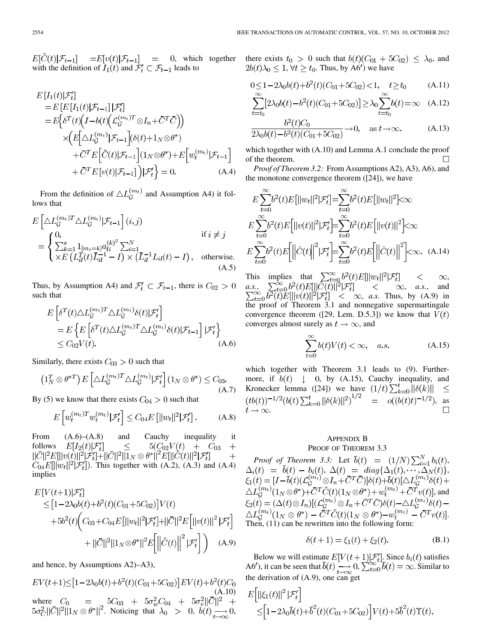$E[\tilde{C}(t)|\mathcal{F}_{t-1}] = E[v(t)|\mathcal{F}_{t-1}] = 0$ , which together with the definition of  $I_1(t)$  and  $\mathcal{F}'_t \subset \mathcal{F}_{t-1}$  leads to

$$
E[I_1(t)|\mathcal{F}'_t]
$$
  
\n
$$
= E[E[I_1(t)|\mathcal{F}_{t-1}]|\mathcal{F}'_t]
$$
  
\n
$$
= E\Big\{\delta^T(t)\Big(I - b(t)\Big(\mathcal{L}_G^{(m_t)T}\otimes I_n + \bar{C}^T\bar{C}\Big)\Big)
$$
  
\n
$$
\times \Big(E\Big[\Delta L_G^{(m_t)}|\mathcal{F}_{t-1}\Big](\delta(t) + 1_N\otimes\theta^*)
$$
  
\n
$$
+ \bar{C}^T E\Big[\tilde{C}(t)|\mathcal{F}_{t-1}\Big](1_N\otimes\theta^*) + E\Big[w_t^{(m_t)}|\mathcal{F}_{t-1}\Big]
$$
  
\n
$$
+ \bar{C}^T E\Big[v(t)|\mathcal{F}_{t-1}\Big]\Big)|\mathcal{F}'_t\Big\} = 0.
$$
 (A.4)

From the definition of  $\Delta L_G^{(m_t)}$  and Assumption A4) it follows that

$$
E\left[\Delta L_G^{(m_t)T} \Delta L_G^{(m_t)}|\mathcal{F}_{t-1}\right](i,j)
$$
  
\n
$$
= \begin{cases}\n0, & \text{if } i \neq j \\
\sum_{k=1}^s 1_{[m_t=k]} a_{li}^{(k)^2} \sum_{i=1}^N \\
\times E\left(L_{il}^T(t)\overline{L}_{il}^{-1} - I\right) \times \left(\overline{L}_{il}^{-1} L_{il}(t) - I\right), & \text{otherwise.} \\
\end{cases}
$$
\n(A.5)

Thus, by Assumption A4) and  $\mathcal{F}'_t \subset \mathcal{F}_{t-1}$ , there is  $C_{02} > 0$ such that

$$
E\left[\delta^T(t)\Delta L_{\mathcal{G}}^{(m_t)T}\Delta L_{\mathcal{G}}^{(m_t)}\delta(t)|\mathcal{F}_t'\right]
$$
  
=  $E\left\{E\left[\delta^T(t)\Delta L_{\mathcal{G}}^{(m_t)T}\Delta L_{\mathcal{G}}^{(m_t)}\delta(t)|\mathcal{F}_{t-1}\right]|\mathcal{F}_t'\right\}$   
 $\leq C_{02}V(t).$  (A.6)

Similarly, there exists  $C_{03} > 0$  such that

$$
\left(1_N^T \otimes \theta^{*T}\right) E\left[\Delta L_{\mathcal{G}}^{(m_t)T} \Delta L_{\mathcal{G}}^{(m_t)}|\mathcal{F}_t'\right] (1_N \otimes \theta^*) \leq C_{03}.
$$
\n(A.7)

By (5) we know that there exists  $C_{04} > 0$  such that

$$
E\left[w_t^{(m_t)T}w_t^{(m_t)}|\mathcal{F}_t'\right] \le C_{04}E\left[||w_t||^2|\mathcal{F}_t'\right].\tag{A.8}
$$

From  $(A.6)$ – $(A.8)$  and Cauchy inequality it  $E[I_2(t)|\mathcal{F}_t']$  $5(C_{02}V(t) + C_{03}$ follows  $E[I_2(t)|\mathcal{F}'_t] \leq 5(C_{02}V(t) + C_{02}V(t))$ <br> $\|\bar{C}\|^2 E[||v(t)||^2|\mathcal{F}'_t] + \|\bar{C}\|^2||1_N \otimes \theta^*\|^2 E[||\tilde{C}(t)||^2|\mathcal{F}'_t]$  $\,<$  $+$  $\boldsymbol{+}$  $C_{04}E[||w_t||^2|\mathcal{F}_t|]$ . This together with (A.2), (A.3) and (A.4) implies

$$
E[V(t+1)|\mathcal{F}'_t] \le [1-2\lambda_0 b(t)+b^2(t)(C_{01}+5C_{02})]V(t) +5b^2(t)\Big(C_{03}+C_{04}E[||w_t||^2|\mathcal{F}'_t]+||\bar{C}||^2E[||v(t)||^2|\mathcal{F}'_t] +||\bar{C}||^2||1_N \otimes \theta^*||^2E[||\tilde{C}(t)||^2|\mathcal{F}'_t]\Big) \quad (A.9)
$$

and hence, by Assumptions A2)–A3),

(A.10) where . Noticing that  $\lambda_0 > 0, b(t) \rightarrow 0$ , there exists  $t_0 > 0$  such that  $b(t)(C_{01} + 5C_{02}) \leq \lambda_0$ , and  $2b(t)\lambda_0 \leq 1$ ,  $\forall t \geq t_0$ . Thus, by A6') we have

$$
0 \le 1 - 2\lambda_0 b(t) + b^2(t)(C_{01} + 5C_{02}) < 1, \quad t \ge t_0 \tag{A.11}
$$

$$
\sum_{t=t_0} [2\lambda_0 b(t) - b^2(t)(C_{01} + 5C_{02})] \ge \lambda_0 \sum_{t=t_0} b(t) = \infty \quad (A.12)
$$

$$
\frac{b^2(t)C_0}{2\lambda_0 b(t) - b^2(t)(C_{01} + 5C_{02})} \to 0, \quad \text{as } t \to \infty.
$$
 (A.13)

which together with (A.10) and Lemma A.1 conclude the proof of the theorem. П

*Proof of Theorem 3.2:* From Assumptions A2), A3), A6), and the monotone convergence theorem ([24]), we have

$$
E\sum_{t=0}^{\infty} b^{2}(t)E[||w_{t}||^{2}|\mathcal{F}'_{t}] = \sum_{t=0}^{\infty} b^{2}(t)E[||w_{t}||^{2}] < \infty
$$
  
\n
$$
E\sum_{t=0}^{\infty} b^{2}(t)E[||v(t)||^{2}|\mathcal{F}'_{t}] = \sum_{t=0}^{\infty} b^{2}(t)E[||v(t)||^{2}] < \infty
$$
  
\n
$$
E\sum_{t=0}^{\infty} b^{2}(t)E[||\tilde{C}(t)||^{2}|\mathcal{F}'_{t}] = \sum_{t=0}^{\infty} b^{2}(t)E[||\tilde{C}(t)||^{2}] < \infty.
$$
 (A.14)

This implies that  $\sum_{t=0}^{\infty} b^2(t) E[||w_t||^2 | \mathcal{F}_t']$  <  $\infty$ , *a.s.*,  $\sum_{t=0}^{\infty} b^2(t) E[||C(t)||^2|\mathcal{F}_t]$  <  $\infty$ , *a.s.*, and , *a.s.* Thus, by (A.9) in the proof of Theorem 3.1 and nonnegative supermartingale convergence theorem ([29, Lem. D.5.3]) we know that  $V(t)$ converges almost surely as  $t \to \infty$ , and

$$
\sum_{t=0}^{\infty} b(t)V(t) < \infty, \quad a.s. \tag{A.15}
$$

which together with Theorem 3.1 leads to (9). Furthermore, if  $b(t) \perp 0$ , by (A.15), Cauchy inequality, and Kronecker lemma ([24]) we have , as  $t\rightarrow\infty$ .  $\Box$ 

#### APPENDIX B PROOF OF THEOREM 3.3

*Proof of Theorem 3.3:* Let  $b(t) = (1/N) \sum_{i=1}^{N} b_i(t)$ ,  $\Delta(t) = diag\{\Delta_1(t), \cdots, \Delta_N(t)\},$ , and . Then, (11) can be rewritten into the following form:

$$
\delta(t+1) = \xi_1(t) + \xi_2(t). \tag{B.1}
$$

Below we will estimate  $E[V(t+1)|\mathcal{F}'_t]$ . Since  $b_i(t)$  satisfies A6'), it can be seen that  $b(t) \longrightarrow 0$ ,  $\sum_{t=0}^{\infty} b(t) = \infty$ . Similar to the derivation of (A.9), one can get

$$
E\left[\left\|\xi_1(t)\right\|^2|\mathcal{F}'_t\right] \leq \left[1-2\lambda_0 \overline{b}(t) + \overline{b}^2(t)(C_{01} + 5C_{02})\right] V(t) + 5\overline{b}^2(t)\Upsilon(t),
$$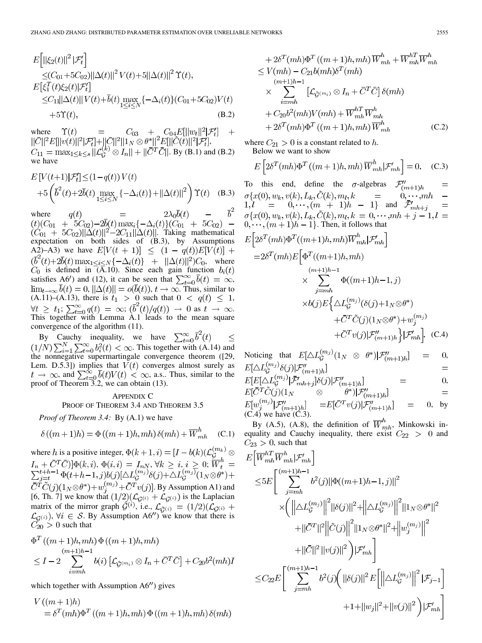$$
E\left[\|\xi_2(t)\|^2 |\mathcal{F}_t'\right] \\
\leq (C_{01} + 5C_{02}) ||\Delta(t)||^2 V(t) + 5 ||\Delta(t)||^2 \Upsilon(t), \\
E\left[\xi_1^T(t)\xi_2(t) |\mathcal{F}_t'\right] \\
\leq C_{11} ||\Delta(t)|| V(t) + \overline{b}(t) \max_{1 \leq i \leq N} \{-\Delta_i(t)\} (C_{01} + 5C_{02}) V(t) \\
+ 5\Upsilon(t),
$$
\n(B.2)

where , . By (B.1) and (B.2) we have

$$
E[V(t+1)|\mathcal{F}'_t] \le (1 - q(t)) V(t)
$$
  
+5  $\left(\overline{b}^2(t) + 2\overline{b}(t) \max_{1 \le i \le N} \{-\Delta_i(t)\} + ||\Delta(t)||^2 \right) \Upsilon(t)$  (B.3)

 $\bar{b}^2$ where  $q(t)$  =  $2\lambda_0 \overline{b}(t)$  -  $\overline{b}^2$ <br>  $(t)(C_{01} + 5C_{02}) - 2\overline{b}(t)$  max<sub>i</sub>{ $-\Delta_i(t)$ }  $(C_{01} + 5C_{02})$  - $(C_{01} + 5C_{02}) ||\Delta(t)||^2 - 2C_{11} ||\Delta(t)||$ . Taking mathematical expectation on both sides of (B.3), by Assumptions A2)–A3) we have  $E[V(t + 1)] \leq (1 - q(t))E[V(t)] +$ , where is defined in (A.10). Since each gain function satisfies A6') and (12), it can be seen that  $\sum_{t=0}^{\infty} b(t) = \infty$ ,  $\lim_{t\to\infty} \overline{b}(t) = 0, ||\Delta(t)|| = o(\overline{b}(t)), t \to \infty.$  Thus, similar to (A.11)–(A.13), there is  $t_1 > 0$  such that  $0 < q(t) \le 1$ ,  $\forall t \geq t_1; \sum_{t=0}^{\infty} q(t) = \infty; (\overline{b}^2(t)/q(t)) \rightarrow 0 \text{ as } t \rightarrow \infty.$ This together with Lemma A.1 leads to the mean square convergence of the algorithm (11).

By Cauchy inequality, we have  $\sum_{t=0}^{\infty} \overline{b}^2(t)$  $\leq$  $(1/N)\sum_{i=1}^{N}\sum_{t=0}^{\infty} b_i^2(t) < \infty$ . This together with (A.14) and the nonnegative supermartingale convergence theorem ([29, Lem. D.5.3]) implies that  $V(t)$  converges almost surely as  $t \to \infty$ , and  $\sum_{t=0}^{\infty} \overline{b}(t)V(t) < \infty$ , a.s... Thus, similar to the proof of Theorem 3.2, we can obtain (13).

### APPENDIX C PROOF OF THEOREM 3.4 AND THEOREM 3.5

*Proof of Theorem 3.4:* By (A.1) we have

$$
\delta((m+1)h) = \Phi((m+1)h, mh)\,\delta(mh) + \overline{W}_{mh}^h \quad \text{(C.1)}
$$

where h is a positive integer,  $\Phi(k+1, i) = [I - b(k)(\mathcal{L}_G^{(m_k)} \otimes$ , , , ;  $\overline{C}^T \widetilde{C}(j)$  $(1_N \otimes \theta^*) + w_j^{(m_j)} + \overline{C}^T v(j)$ . By Assumption A1) and [6, Th. 7] we know that  $(1/2)(\mathcal{L}_{\mathcal{G}^{(i)}} + \mathcal{L}_{\mathcal{G}^{(i)}})$  is the Laplacian matrix of the mirror graph  $\hat{\mathcal{G}}^{(i)}$ , i.e.,  $\mathcal{L}_{\hat{\mathcal{G}}^{(i)}} = (1/2)(\mathcal{L}_{\mathcal{G}^{(i)}} +$  $\mathcal{L}_{G^{(i)}}$ ,  $\forall i \in S$ . By Assumption A6'') we know that there is  $\overline{C}_{20} > 0$  such that

$$
\Phi^T\left((m+1)h, mh\right) \Phi\left((m+1)h, mh\right)
$$
  
\n
$$
\leq I - 2 \sum_{i=mh}^{(m+1)h-1} b(i) \left[ \mathcal{L}_{\hat{\mathcal{G}}^{(m_i)}} \otimes I_n + \bar{C}^T \bar{C} \right] + C_{20} b^2 (mh) I
$$

which together with Assumption  $A6''$ ) gives

$$
V((m+1)h)
$$
  
=  $\delta^T(mh)\Phi^T((m+1)h, mh)\Phi((m+1)h, mh)\delta(mh)$ 

+ 
$$
2\delta^T(mh)\Phi^T((m+1)h, mh)\overline{W}_{mh}^h + \overline{W}_{mh}^{hT}\overline{W}_{mh}^h
$$
  
\n $\leq V(mh) - C_{21}b(mh)\delta^T(mh)$   
\n $\times \sum_{i=mh}^{(m+1)h-1} [\mathcal{L}_{\hat{G}^{(m_i)}} \otimes I_n + \overline{C}^T\overline{C}] \delta(mh)$   
\n+  $C_{20}b^2(mh)V(mh) + \overline{W}_{mh}^{hT}\overline{W}_{mh}^h$   
\n+  $2\delta^T(mh)\Phi^T((m+1)h, mh)\overline{W}_{mh}^h$  (C.2)

where  $C_{21} > 0$  is a constant related to h. Below we want to show

$$
E\left[2\delta^T(mh)\Phi^T((m+1)h,mh)\overline{W}_{mh}^h|\mathcal{F}_{mh}'\right] = 0.
$$
 (C.3)

To this end, define the  $\sigma$ -algebras  $\mathcal{F}''_{(m+1)h}$  $\begin{array}{lll} \sigma\{x(0),w_k,v(k),L_k,\tilde{C}(k),m_l,k&=&\text{0},\cdots, mh\\ 1,l&=&\text{0},\cdots,(m~+~1)h~-~1\} \ \text{ and } \ \tilde{\mathcal{F}}_{mh+j}' \end{array}$  $0,\cdots,mh$  $=$  $\sigma\{x(0), w_k, v(k), L_k, \tilde{C}(k), m_l, k = 0, \dots, mh + j - 1, l = 0, \dots, (m + 1)h - 1\}.$  Then, it follows that  $E\Big[2\delta^T (mh) \Phi^T ((m+1)h, mh) \overline{W}^h_{mh} | \mathcal{F}'_{mh} \Big]$  $= \! 2 \delta^T (m h) E\Big[\Phi^T ((m\!+\!1) h, m h)$  $\times \sum_{j=m h}^{(m+1)h-1} \Phi((m\!+\!1)h\!-\!1,j)$  $\times b(j)E\big\{\Delta L_{\mathcal{G}}^{(m_j)}(\delta(j)+1_N\otimes\theta^*)$  $+\bar{C}^T\tilde{C}(j)(\mathbf{1}_N\!\otimes\! \theta^*)\!+\!w_j^{(m_j)}$  $+\bar{C}^T v(j) | \mathcal{F}''_{(m+1)h} \Big\} | \mathcal{F}'_{mh} |$ . (C.4)

Noticing that  $E[\Delta L_G^{(m_j)}(1_N \otimes \theta^*) | \mathcal{F}_{(m+1)h}^{\prime\prime}] = 0,$  $E[\Delta L_G^{(m_j)}\delta(j)|\mathcal{F}_{(m+1)h}^{\prime\prime}]$ <br>  $E[E[\Delta L_G^{(m_j)}|\mathcal{F}_{m_{h+1}}^{\prime\prime}]\delta(j)|\mathcal{F}_{m_{h+1}h}^{\prime\prime}]$  $=$  $\Omega$ 

$$
E[\overline{C}^T \widetilde{C}(j)(1_N \otimes \theta^*) | \mathcal{F}_{(m+1)h}^{\prime\prime}] =
$$
  

$$
E[\overline{C}^T \widetilde{C}(j)(1_N \otimes \theta^*) | \mathcal{F}_{(m+1)h}^{\prime\prime}] =
$$

$$
E[w_j^{(m_j)}|\mathcal{F}_{(m+1)h}'] = E[C^T v(j)|\mathcal{F}_{(m+1)h}'] = 0, \text{ by}
$$
  
(C.4) we have (C.3).

By (A.5), (A.8), the definition of  $W_{mh}^{\prime}$ , Minkowski inequality and Cauchy inequality, there exist  $C_{22} > 0$  and  $C_{23} > 0$ , such that

$$
E\left[\overline{W}_{mh}^{hT}\overline{W}_{mh}^{h}|\mathcal{F}_{mh}'\right] \\
\leq 5E\left[\sum_{j=mh}^{(m+1)h-1} b^{2}(j)||\Phi((m+1)h-1,j)||^{2} \times \left(\left\|\Delta L_{\mathcal{G}}^{(m_{j})}\right\|^{2}||\delta(j)||^{2} + \left\|\Delta L_{\mathcal{G}}^{(m_{j})}\right\|^{2}||1_{N}\otimes\theta^{*}||^{2} + ||\overline{C}^{T}||^{2}||\overline{C}(j)||^{2}||1_{N}\otimes\theta^{*}||^{2} + \left\|w_{j}^{(m_{j})}\right\|^{2} + ||\overline{C}||^{2}||v(j)||^{2}\right)\left|\mathcal{F}_{mh}'\right]
$$
  

$$
\leq C_{22}E\left[\sum_{j=mh}^{(m+1)h-1} b^{2}(j)\left(\left\|\delta(j)\right\|^{2} E\left[\left\|\Delta L_{\mathcal{G}}^{(m_{j})}\right\|^{2}|\mathcal{F}_{j-1}\right] + 1 + ||w_{j}||^{2} + ||v(j)||^{2}\right)\left|\mathcal{F}_{mh}'\right|\right]
$$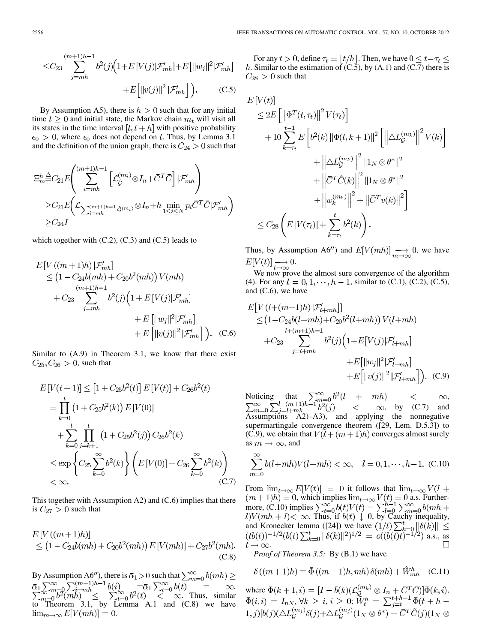$$
\leq C_{23} \sum_{j=mh}^{(m+1)h-1} b^2(j) \Big( 1 + E\left[ V(j) | \mathcal{F}'_{mh} \right] + E\left[ ||w_j||^2 | \mathcal{F}'_{mh} \right] + E\left[ ||v(j)||^2 | \mathcal{F}'_{mh} \right] \Big).
$$
 (C.5)

By Assumption A5), there is  $h > 0$  such that for any initial time  $t \geq 0$  and initial state, the Markov chain  $m_t$  will visit all its states in the time interval  $[t, t+h]$  with positive probability  $\epsilon_0 > 0$ , where  $\epsilon_0$  does not depend on t. Thus, by Lemma 3.1 and the definition of the union graph, there is  $C_{24} > 0$  such that

$$
\begin{split} \Xi_m^h \triangleq & C_{21} E \Bigg( \sum_{i=mh}^{(m+1)h-1} \left[ \mathcal{L}_{\hat{\mathcal{G}}}^{(m_i)} \otimes I_n + \bar{C}^T \bar{C} \right] | \mathcal{F}_{mh}' \Bigg) \\ \geq & C_{21} E \Bigg( \mathcal{L}_{\sum_{i=mh}^{(m+1)h-1} \hat{\mathcal{G}}^{(m_i)}} \otimes I_n + h \min_{1 \leq i \leq N} p_i \bar{C}^T \bar{C} | \mathcal{F}_{mh}' \Bigg) \\ \geq & C_{24} I \end{split}
$$

which together with  $(C.2)$ ,  $(C.3)$  and  $(C.5)$  leads to

$$
E\left[V((m+1)h)|\mathcal{F}_{mh}^{\prime}\right] \n\leq (1-C_{24}b(mh) + C_{20}b^2(mh)) V(mh) \n+ C_{23} \sum_{j=mh}^{(m+1)h-1} b^2(j) \Big(1 + E\left[V(j)|\mathcal{F}_{mh}^{\prime}\right] \n+ E\left[||w_j||^2|\mathcal{F}_{mh}^{\prime}\right] \n+ E\left[||v(j)||^2|\mathcal{F}_{mh}^{\prime}\right].
$$
 (C.6)

Similar to (A.9) in Theorem 3.1, we know that there exist  $C_{25}, C_{26} > 0$ , such that

$$
E[V(t+1)] \le [1 + C_{25}b^2(t)] E[V(t)] + C_{26}b^2(t)
$$
  
\n
$$
= \prod_{k=0}^t (1 + C_{25}b^2(k)) E[V(0)]
$$
  
\n
$$
+ \sum_{k=0}^t \prod_{j=k+1}^t (1 + C_{25}b^2(j)) C_{26}b^2(k)
$$
  
\n
$$
\le \exp \left\{ C_{25} \sum_{k=0}^\infty b^2(k) \right\} \left( E[V(0)] + C_{26} \sum_{k=0}^\infty b^2(k) \right)
$$
  
\n
$$
< \infty.
$$
 (C.7)

This together with Assumption A2) and (C.6) implies that there is  $C_{27} > 0$  such that

$$
E[V((m+1)h)]
$$
  
\n
$$
\leq (1 - C_{24}b(mh) + C_{20}b^2(mh)) E[V(mh)] + C_{27}b^2(mh).
$$
  
\n(C.8)

By Assumption A6''), there is  $\bar{\alpha}_1 > 0$  such that , . Thus, similar to Theorem 3.1, by Lemma A.1 and (C.8) we have  $\lim_{m\to\infty} E[V(mh)] = 0.$ 

For any  $t > 0$ , define  $\tau_t = |t/h|$ . Then, we have  $0 \le t - \tau_t \le$ h. Similar to the estimation of  $(C.\bar{5})$ , by  $(A.1)$  and  $(C.7)$  there is  $C_{28} > 0$  such that

$$
E[V(t)]
$$
  
\n
$$
\leq 2E \left[ \left\| \Phi^{T}(t, \tau_{t}) \right\|^{2} V(\tau_{t}) \right]
$$
  
\n
$$
+ 10 \sum_{k=\tau_{t}}^{t-1} E \left[ b^{2}(k) \left\| \Phi(t, k+1) \right\|^{2} \left[ \left\| \Delta L_{\mathcal{G}}^{(m_{k})} \right\|^{2} V(k) \right]
$$
  
\n
$$
+ \left\| \Delta L_{\mathcal{G}}^{(m_{k})} \right\|^{2} \left\| 1_{N} \otimes \theta^{*} \right\|^{2}
$$
  
\n
$$
+ \left\| \bar{C}^{T} \tilde{C}(k) \right\|^{2} \left\| 1_{N} \otimes \theta^{*} \right\|^{2}
$$
  
\n
$$
+ \left\| w_{k}^{(m_{k})} \right\|^{2} + \left\| \bar{C}^{T} v(k) \right\|^{2} \right]
$$
  
\n
$$
\leq C_{28} \left( E \left[ V(\tau_{t}) \right] + \sum_{k=\tau_{t}}^{t} b^{2}(k) \right).
$$

Thus, by Assumption A6'') and  $E[V(mh)] \longrightarrow_{m \to \infty} 0$ , we have  $E[V(t)] \longrightarrow_{t \to \infty} 0.$ 

We now prove the almost sure convergence of the algorithm (4). For any  $l = 0, 1, \dots, h - 1$ , similar to (C.1), (C.2), (C.5), and (C.6), we have

$$
E[V(l+(m+1)h)|\mathcal{F}'_{l+mh}]]
$$
  
\n
$$
\leq (1-C_{24}b(l+mh)+C_{20}b^2(l+mh)) V(l+mh)
$$
  
\n
$$
+C_{23} \sum_{j=l+mh}^{l+(m+1)h-1} b^2(j) (1+E[V(j)|\mathcal{F}'_{l+mh}] + E[||w_j||^2|\mathcal{F}'_{l+mh}] + E[||w_j||^2|\mathcal{F}'_{l+mh}].
$$
  
\n
$$
+E[||w_j||^2|\mathcal{F}'_{l+mh}].
$$
 (C.9)

Noticing that  $\sum_{m=0}^{\infty} b^2(l + mh)$  <  $\infty$ , , by (C.7) and Assumptions A2)–A3), and applying the nonnegative supermartingale convergence theorem ([29, Lem. D.5.3]) to (C.9), we obtain that  $V(l+(m+1)h)$  converges almost surely as  $m \to \infty$ , and

$$
\sum_{m=0}^{\infty} b(l+mh)V(l+mh) < \infty, \quad l = 0, 1, \dots, h-1. \tag{C.10}
$$

From  $\lim_{t\to\infty} E[V(t)] = 0$  it follows that  $\lim_{t\to\infty} V(l +$ , which implies  $\lim_{t\to\infty} V(t) = 0$  a.s. Furthermore, (C.10) implies . Thus, if  $b(t) \downarrow 0$ , by Cauchy inequality, and Kronecker lemma ([24]) we have a.s., as  $t\rightarrow\infty.$  $\Box$ 

*Proof of Theorem 3.5:* By (B.1) we have

$$
\delta((m+1)h) = \bar{\Phi}((m+1)h, mh)\delta(mh) + \tilde{W}_{mh}^h \quad (C.11)
$$

where  $\Phi(k+1,i) = [I - b(k)(\mathcal{L}_G^{(m_k)} \otimes I_n + C^T C)] \Phi(k,i),$ ,  $\forall k \geq i, i \geq 0;$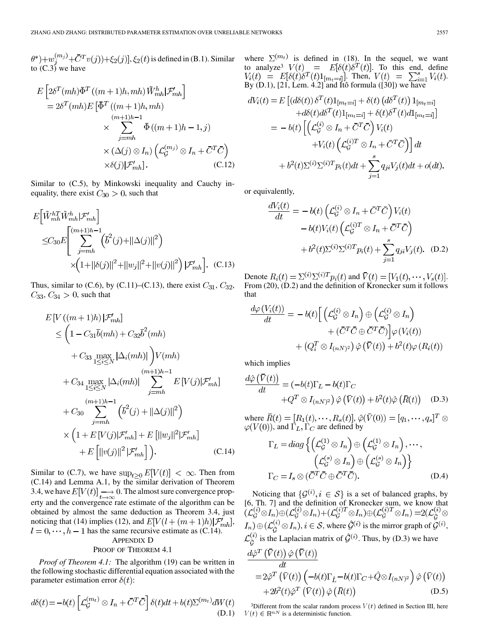,  $\xi_2(t)$  is defined in (B.1). Similar to (C.3) we have

$$
E\left[2\delta^T(mh)\bar{\Phi}^T((m+1)h, mh)\tilde{W}_{mh}^h|\mathcal{F}_{mh}'\right]
$$
  
=  $2\delta^T(mh)E\left[\bar{\Phi}^T((m+1)h, mh)\right]$   
 $\times \sum_{j=mh}^{(m+1)h-1} \bar{\Phi}((m+1)h-1, j)$   
 $\times (\Delta(j) \otimes I_n)\left(\mathcal{L}_\mathcal{G}^{(m_j)} \otimes I_n + \bar{C}^T\bar{C}\right)$   
 $\times \delta(j)|\mathcal{F}_{mh}'|.$  (C.12)

Similar to (C.5), by Minkowski inequality and Cauchy inequality, there exist  $C_{30} > 0$ , such that

$$
E\left[\tilde{W}_{mh}^{hT}\tilde{W}_{mh}^{h}|\mathcal{F}_{mh}'\right] \n\leq C_{30} E\left[\sum_{j=mh}^{(m+1)h-1} (\bar{b}^{2}(j) + ||\Delta(j)||^{2}) \times (1 + ||\delta(j)||^{2} + ||w_{j}||^{2} + ||v(j)||^{2}) |\mathcal{F}_{mh}'].
$$
\n(C.13)

Thus, similar to (C.6), by (C.11)–(C.13), there exist  $C_{31}$ ,  $C_{32}$ ,  $C_{33}, C_{34} > 0$ , such that

$$
E[V((m+1)h)|\mathcal{F}'_{mh}]
$$
  
\n
$$
\leq \left(1 - C_{31}\overline{b}(mh) + C_{32}\overline{b}^{2}(mh) + C_{33} \max_{1 \leq i \leq N} |\Delta_{i}(mh)|\right)V(mh)
$$
  
\n
$$
+ C_{34} \max_{1 \leq i \leq N} |\Delta_{i}(mh)| \sum_{j=mh}^{(m+1)h-1} E[V(j)|\mathcal{F}'_{mh}]
$$
  
\n
$$
+ C_{30} \sum_{j=mh}^{(m+1)h-1} (\overline{b}^{2}(j) + ||\Delta(j)||^{2})
$$
  
\n
$$
\times \left(1 + E[V(j)|\mathcal{F}'_{mh}] + E[||w_{j}||^{2}|\mathcal{F}'_{mh}] + E[||w_{j}||^{2}|\mathcal{F}'_{mh}] + E[||w_{j}||^{2}|\mathcal{F}'_{mh}] \right)
$$
  
\n
$$
+ E[||v(j)||^{2}|\mathcal{F}'_{mh}] \Big).
$$
 (C.14)

Similar to (C.7), we have  $\sup_{t>0} E[V(t)] < \infty$ . Then from  $(C.14)$  and Lemma A.1, by the similar derivation of Theorem 3.4, we have  $E[V(t)] \longrightarrow_{t \to \infty} 0$ . The almost sure convergence property and the convergence rate estimate of the algorithm can be obtained by almost the same deduction as Theorem 3.4, just noticing that (14) implies (12), and  $E[V(l+(m+1)h)|\mathcal{F}'_{mh}]$ ,  $l = 0, \dots, h - 1$  has the same recursive estimate as (C.14).

### APPENDIX D PROOF OF THEOREM 4.1

*Proof of Theorem 4.1:* The algorithm (19) can be written in the following stochastic differential equation associated with the parameter estimation error  $\delta(t)$ :

$$
d\delta(t) = -b(t) \left[ \mathcal{L}_{\mathcal{G}}^{(m_t)} \otimes I_n + \bar{C}^T \bar{C} \right] \delta(t) dt + b(t) \Sigma^{(m_t)} dW(t)
$$
\n(D.1)

where  $\Sigma^{(m_t)}$  is defined in (18). In the sequel, we want to analyze<sup>3</sup>  $V(t) = E[\delta(t)\delta^T(t)]$ . To this end, define . Then,  $V(t) = \sum_{i=1}^{s} V_i(t)$ . By (D.1), [21, Lem. 4.2] and Itô formula ([30]) we have

$$
dV_i(t) = E\left[ (d\delta(t)) \delta^T(t) 1_{[m_t=i]} + \delta(t) (d\delta^T(t)) 1_{[m_t=i]} + d\delta(t) d\delta^T(t) 1_{[m_t=i]} + \delta(t) \delta^T(t) d1_{[m_t=i]} \right]
$$
  
\n
$$
= -b(t) \left[ \left( \mathcal{L}_\mathcal{G}^{(i)} \otimes I_n + \bar{C}^T \bar{C} \right) V_i(t) + V_i(t) \left( \mathcal{L}_\mathcal{G}^{(i)T} \otimes I_n + \bar{C}^T \bar{C} \right) \right] dt
$$
  
\n
$$
+ b^2(t) \Sigma^{(i)} \Sigma^{(i)T} p_i(t) dt + \sum_{j=1}^s q_{ji} V_j(t) dt + o(dt).
$$

or equivalently,

$$
\frac{dV_i(t)}{dt} = -b(t)\left(\mathcal{L}_G^{(i)} \otimes I_n + \bar{C}^T \bar{C}\right) V_i(t)
$$

$$
-b(t)V_i(t)\left(\mathcal{L}_G^{(i)T} \otimes I_n + \bar{C}^T \bar{C}\right)
$$

$$
+ b^2(t)\Sigma^{(i)}\Sigma^{(i)T}p_i(t) + \sum_{j=1}^s q_{ji}V_j(t). \quad (D.2)
$$

Denote  $R_i(t) = \sum^{(i)} \sum^{(i)} T p_i(t)$  and  $\overline{V}(t) = [V_1(t), \cdots, V_s(t)].$ From (20), (D.2) and the definition of Kronecker sum it follows that

$$
\frac{d\varphi(V_i(t))}{dt} = -b(t) \Big[ \Big( \mathcal{L}_{\mathcal{G}}^{(i)} \otimes I_n \Big) \oplus \Big( \mathcal{L}_{\mathcal{G}}^{(i)} \otimes I_n \Big) \n+ \big( \overline{C}^T \overline{C} \oplus \overline{C}^T \overline{C} \big) \Big] \varphi(V_i(t)) \n+ \big( Q_i^T \otimes I_{(nN)^2} \big) \hat{\varphi} \big( \overline{V}(t) \big) + b^2(t) \varphi(R_i(t))
$$

which implies

$$
\frac{d\hat{\varphi}(\bar{V}(t))}{dt} = (-b(t)\Gamma_L - b(t)\Gamma_C \n+Q^T \otimes I_{(nN)^2}) \hat{\varphi}(\bar{V}(t)) + b^2(t)\hat{\varphi}(\bar{R}(t)) \quad (D.3)
$$

where  $\bar{R}(t)=[R_1(t),\cdots,R_s(t)],\,\hat{\varphi}(\bar{V}(0))=[q_1,\cdots,q_s]^T\otimes$  $\varphi(V(0))$ , and  $\Gamma_L, \Gamma_C$  are defined by

$$
\Gamma_L = diag\left\{ \left( \mathcal{L}_\mathcal{G}^{(1)} \otimes I_n \right) \oplus \left( \mathcal{L}_\mathcal{G}^{(1)} \otimes I_n \right), \cdots, \\ \left( \mathcal{L}_\mathcal{G}^{(s)} \otimes I_n \right) \oplus \left( \mathcal{L}_\mathcal{G}^{(s)} \otimes I_n \right) \right\}
$$

$$
\Gamma_C = I_s \otimes (\bar{C}^T \bar{C} \oplus \bar{C}^T \bar{C}). \tag{D.4}
$$

Noticing that  $\{\mathcal{G}^{(i)}, i \in \mathcal{S}\}\$ is a set of balanced graphs, by [6, Th. 7] and the definition of Kronecker sum, we know that ,  $i \in S$ , where  $\mathcal{G}^{(i)}$  is the mirror graph of  $\mathcal{G}^{(i)}$ ,  $\mathcal{L}_{\hat{G}}^{(i)}$  is the Laplacian matrix of  $\hat{\mathcal{G}}^{(i)}$ . Thus, by (D.3) we have  $\frac{d\hat{\varphi}^T\left(\bar{V}(t)\right)\hat{\varphi}\left(\bar{V}(t)\right)}{dt}$  $=2\hat{\varphi}^T\left(\bar{V}(t)\right)\left(-b(t)\Gamma_{\hat{L}}-b(t)\Gamma_{C}+\hat{Q}\otimes I_{(nN)^2}\right)\hat{\varphi}\left(\bar{V}(t)\right)$  $+2b^2(t)\hat{\varphi}^T(\bar{V}(t))\hat{\varphi}(\bar{R}(t))$ (D.5)

<sup>3</sup>Different from the scalar random process  $V(t)$  defined in Section III, here  $V(t) \in \mathbb{R}^{nN}$  is a deterministic function.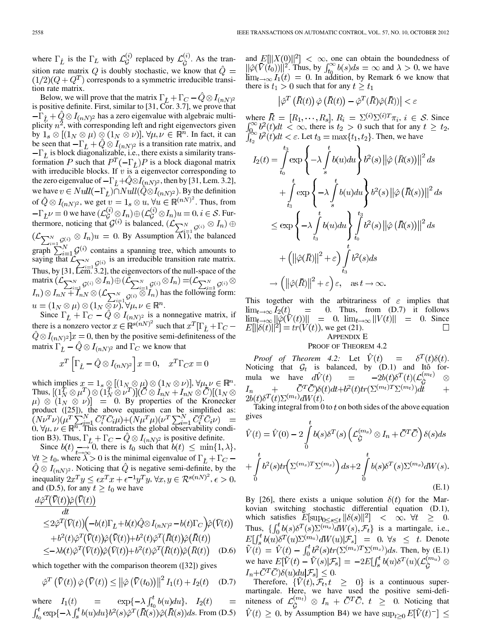where  $\Gamma_{\hat{L}}$  is the  $\Gamma_L$  with  $\mathcal{L}_G^{(i)}$  replaced by  $\mathcal{L}_{\hat{C}}^{(i)}$ . As the transition rate matrix Q is doubly stochastic, we know that  $\hat{Q} =$  $(1/2)(Q+Q<sup>T</sup>)$  corresponds to a symmetric irreducible transition rate matrix.

Below, we will prove that the matrix  $\Gamma_{\hat{L}} + \Gamma_C - \hat{Q} \otimes I_{(nN)^2}$ is positive definite. First, similar to  $[31, \overline{\text{Cor}}. 3.7]$ , we prove that  $-\Gamma_{\hat{L}}+\hat{Q}\otimes I_{(nN)^2}$  has a zero eigenvalue with algebraic multiplicity  $n^2$ , with corresponding left and right eigenvectors given by  $1_s \otimes [(1_N \otimes \mu) \otimes (1_N \otimes \nu)]$ ,  $\forall \mu, \nu \in \mathbb{R}^n$ . In fact, it can be seen that  $-\Gamma_{\hat{L}} + \hat{Q} \otimes I_{(nN)^2}$  is a transition rate matrix, and  $-\Gamma_{\hat{t}}$  is block diagonalizable, i.e., there exists a similarity transformation P such that  $P^{T}(-\Gamma_{\hat{L}})P$  is a block diagonal matrix with irreducible blocks. If  $v$  is a eigenvector corresponding to the zero eigenvalue of  $-\Gamma_{\hat{L}} + \hat{Q} \otimes I_{(nN)^2}$ , then by [31, Lem. 3.2], we have  $v \in Null(-\Gamma_{\hat{L}}) \cap Null(Q \otimes I_{(nN)^2})$ . By the definition of  $\hat{Q} \otimes I_{(nN)^2}$ , we get  $v = 1_s \otimes u$ ,  $\forall u \in \mathbb{R}^{(nN)^2}$ . Thus, from we have  $(\mathcal{L}_G^{(i)} \otimes I_n) \oplus (\mathcal{L}_G^{(i)} \otimes I_n) u = 0, i \in \mathcal{S}$ . Furthermore, noticing that  $\mathcal{G}^{(i)}$  is balanced, . By Assumption A1), the balanced graph  $\sum_{i=1}^{N} \mathcal{G}^{(i)}$  contains a spanning tree, which amounts to saying that  $\mathcal{L}_{\nabla^N}$   $_{\mathcal{C}(i)}$  is an irreducible transition rate matrix. Thus, by [31,  $\overline{\text{Len}}$ ].  $3.2$ ], the eigenvectors of the null-space of the matrix has the following form: ,  $\forall \mu, \nu \in \mathbb{R}^n$ .

Since  $\Gamma_{\hat{L}} + \Gamma_C - Q \otimes I_{(nN)^2}$  is a nonnegative matrix, if there is a nonzero vector  $x \in \mathbb{R}^{s(n)}$  such that  $\hat{Q} \otimes I_{(nN)^2}$   $x = 0$ , then by the positive semi-definiteness of the matrix  $\Gamma_{\hat{L}} - \hat{Q} \otimes I_{(nN)^2}$  and  $\Gamma_C$  we know that

$$
x^T \left[ \Gamma_{\hat{L}} - \hat{Q} \otimes I_{(nN)^2} \right] x = 0, \quad x^T \Gamma_C x = 0
$$

which implies  $x = 1_s \otimes [(1_N \otimes \mu) \otimes (1_N \otimes \nu)], \forall \mu_2 \nu \in \mathbb{R}^n$ . Thus,  $[(1^T_N \otimes \mu^T) \otimes (1^T_N \otimes \nu^T)](\tilde{C} \otimes \tilde{I}_{nN} + I_{nN} \otimes \tilde{C})[(1_N \otimes$  $\mu$ )  $\otimes$   $(1_N \otimes \nu)$ ] = 0. By properties of the Kronecker product ([25]), the above equation can be simplified as: ,  $\forall \mu, \nu \in \mathbb{R}^n$ . This contradicts the global observability condition B3). Thus,  $\Gamma_{\hat{L}} + \Gamma_C - Q \otimes I_{(nN)^2}$  is positive definite.

Since  $b(t) \longrightarrow 0$ , there is  $t_0$  such that  $b(t) \le \min\{1, \lambda\},\$ , where  $\lambda > 0$  is the minimal eigenvalue of  $\hat{Q} \otimes I_{(nN)^2}$ . Noticing that  $\hat{Q}$  is negative semi-definite, by the inequality  $2x^T y \leq \epsilon x^T x + \epsilon^{-1} y^T y$ ,  $\forall x, y \in \mathcal{R}^{s(n)}$ ,  $\epsilon > 0$ , and (D.5), for any  $t \geq t_0$  we have  $1 \wedge T(\bar{T}(\mu)) \wedge (\bar{T}(\mu))$ 

$$
\frac{d\hat{\varphi}^{1}(V(t))\hat{\varphi}(V(t))}{dt}
$$
\n
$$
\leq 2\hat{\varphi}^{T}(\bar{V}(t))\Big(-b(t)\Gamma_{\hat{L}}+b(t)\hat{Q}\otimes I_{(nN)^{2}}-b(t)\Gamma_{C}\Big)\hat{\varphi}(\bar{V}(t))
$$
\n
$$
+b^{2}(t)\hat{\varphi}^{T}(\bar{V}(t))\hat{\varphi}(\bar{V}(t))+b^{2}(t)\hat{\varphi}^{T}(\bar{R}(t))\hat{\varphi}(\bar{R}(t))
$$
\n
$$
\leq -\lambda b(t)\hat{\varphi}^{T}(\bar{V}(t))\hat{\varphi}(\bar{V}(t))+b^{2}(t)\hat{\varphi}^{T}(\bar{R}(t))\hat{\varphi}(\bar{R}(t)) \quad (D.6)
$$

which together with the comparison theorem ([32]) gives

$$
\hat{\varphi}^T(\bar{V}(t))\hat{\varphi}(\bar{V}(t)) \le ||\hat{\varphi}(\bar{V}(t_0))||^2 I_1(t) + I_2(t) \quad (D.7)
$$

where 
$$
I_1(t) = \exp\{-\lambda \int_{t_0}^t b(u) du\}
$$
,  $I_2(t) = \int_{t_0}^t \exp\{-\lambda \int_s^t b(u) du\} b^2(s) \hat{\varphi}^T(\bar{R}(s)) \hat{\varphi}(\bar{R}(s)) ds$ . From (D.5)

and  $E[||X(0)||^2] < \infty$ , one can obtain the boundedness of . Thus, by  $\int_{t_0}^{\infty} b(s)ds = \infty$  and  $\lambda > 0$ , we have  $\lim_{t\to\infty} I_1(t) = 0$ . In addition, by Remark 6 we know that there is  $t_1 > 0$  such that for any  $t \geq t_1$ 

$$
\hat{\varphi}^T\left(\bar{R}(t)\right)\hat{\varphi}\left(\bar{R}(t)\right) - \hat{\varphi}^T(\bar{R})\hat{\varphi}(\bar{R})\big)\big| < \varepsilon
$$

where  $\bar{R} = [R_1, \dots, R_s], R_i = \sum^{(i)} \sum^{(i)} T_{\pi_i}, i \in S$ . Since , there is  $t_2 > 0$  such that for any  $t \geq t_2$ , . Let  $t_3 = \max\{t_1, t_2\}$ . Then, we have

$$
I_2(t) = \int_{t_0}^{t_3} \exp\left\{-\lambda \int_s^t b(u) du\right\} b^2(s) ||\hat{\varphi}(\bar{R}(s))||^2 ds
$$
  
+ 
$$
\int_{t_3}^t \exp\left\{-\lambda \int_s^t b(u) du\right\} b^2(s) ||\hat{\varphi}(\bar{R}(s))||^2 ds
$$
  

$$
\leq \exp\left\{-\lambda \int_{t_3}^t b(u) du\right\} \int_{t_0}^{t_3} b^2(s) ||\hat{\varphi}(\bar{R}(s))||^2 ds
$$
  
+ 
$$
(||\hat{\varphi}(\bar{R})||^2 + \varepsilon) \int_{t_3}^t b^2(s) ds
$$
  
+ 
$$
(||\hat{\varphi}(\bar{R})||^2 + \varepsilon) \varepsilon, \text{ as } t \to \infty.
$$

This together with the arbitrariness of  $\varepsilon$  implies that  $\lim_{t\to\infty} I_2(t)$  $=$  0. Thus, from  $(D.7)$  it follows  $\lim_{t\to\infty} ||\hat{\varphi}(\overline{V}(t))|| = 0$ ,  $\lim_{t\to\infty} ||V(t)|| = 0$ . Since  $E[||\delta(t)||^2] = tr(V(t))$ , we get (21).  $\Box$ APPENDIX E

### PROOF OF THEOREM 4.2

*Proof of Theorem 4.2:* Let  $\hat{V}(t) = \delta^T(t)\delta(t)$ . Noticing that  $\mathcal{G}_t$  is balanced, by  $(D.1)$  and Itô for-<br>mula we have  $d\hat{V}(t) = -2b(t)\delta^T(t)(\mathcal{L}_{\hat{\sigma}}^{(m_t)} \otimes$ mula we have  $dV(t)$  $\otimes$  $\bar{C}^T\bar{C}\rangle\delta(t)dt+b^2(t)tr(\Sigma^{(m_t)T}\Sigma^{(m_t)})d\tilde{t}$  $I_n$  $+$  $+$  $2b(t)\delta^T(t)\Sigma^{(m_t)}dW(t)$ .

Taking integral from 0 to t on both sides of the above equation gives

$$
\hat{V}(t) = \hat{V}(0) - 2 \int_{0}^{t} b(s)\delta^{T}(s) \left( \mathcal{L}_{\hat{G}}^{(m_{s})} \otimes I_{n} + \bar{C}^{T}\bar{C} \right) \delta(s)ds
$$

$$
+ \int_{0}^{t} b^{2}(s) tr \left( \Sigma^{(m_{s})T} \Sigma^{(m_{s})} \right) ds + 2 \int_{0}^{t} b(s)\delta^{T}(s) \Sigma^{(m_{s})} dW(s).
$$
\n(E.1)

By [26], there exists a unique solution  $\delta(t)$  for the Markovian switching stochastic differential equation (D.1), which satisfies  $E[\sup_{0 \le s \le t} ||\delta(s)||^2] < \infty$ ,  $\forall t \ge 0$ . Thus,  $\{\int_0^t b(s) \delta^T(s) \Sigma^{(m_s)} dW(s), \mathcal{F}_t\}$  is a martingale, i.e., ,  $\forall s \leq t$ . Denote . Then, by (E.1) we have  $E[\tilde{V}(t) - \tilde{V}(s)|\mathcal{F}_s] = -2E[\int_s^t b(u)\delta^T(u)(\mathcal{L}_{\hat{C}}^{(m_u)}\otimes$  $I_n+\overline{C}^T\overline{C}\partial_{\theta}(u)du|\mathcal{F}_s]\leq 0.$ 

Therefore,  $\{V(t), \mathcal{F}_t, t \geq 0\}$  is a continuous supermartingale. Here, we have used the positive semi-definiteness of  $\mathcal{L}^{(m_t)}_{\hat{\sigma}} \otimes I_n + C^T C, t \geq 0$ . Noticing that  $\hat{V}(t) \geq 0$ , by Assumption B4) we have  $\sup_{t>0} E[\hat{V}(t)^{-}] \leq$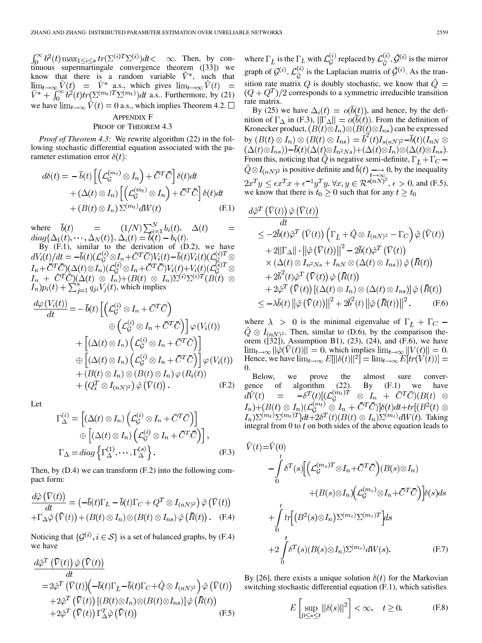. Then, by continuous supermartingale convergence theorem ([33]) we know that there is a random variable  $V^*$ , such that a.s., which gives a.s.. Furthermore, by (21) we have  $\lim_{t\to\infty} \hat{V}(t) = 0$  a.s., which implies Theorem 4.2.  $\Box$ 

#### APPENDIX F PROOF OF THEOREM 4.3

*Proof of Theorem 4.3:* We rewrite algorithm (22) in the following stochastic differential equation associated with the parameter estimation error  $\delta(t)$ :

$$
d\delta(t) = -\overline{b}(t) \left[ \left( \mathcal{L}_{\mathcal{G}}^{(m_t)} \otimes I_n \right) + \overline{C}^T \overline{C} \right] \delta(t) dt
$$
  
+ 
$$
(\Delta(t) \otimes I_n) \left[ \left( \mathcal{L}_{\mathcal{G}}^{(m_t)} \otimes I_n \right) + \overline{C}^T \overline{C} \right] \delta(t) dt
$$
  
+ 
$$
(B(t) \otimes I_n) \Sigma^{(m_t)} dW(t) \tag{F.1}
$$

where  $b(t)$  =  $(1/N)\sum_{i=1}^{N}b_i(t)$ ,  $, \Delta_i(t) = b(t) - b_i(t).$ 

By  $(F.1)$ , similar to the derivation of  $(D.2)$ , we have  $dV_i(t)/dt = -\bar{b}(t)(\mathcal{L}_G^{(i)} \otimes I_n + \bar{C}^T \bar{C})V_i(t) - \bar{b}(t)V_i(t)(\mathcal{L}_G^{(i)T} \otimes I_n + \bar{C}^T \bar{C})(\Delta(t) \otimes I_n)(\mathcal{L}_G^{(i)} \otimes I_n + \bar{C}^T \bar{C})V_i(t) + V_i(t)(\mathcal{L}_G^{(i)T} \otimes I_n + \bar{C}^T \bar{C})(\Delta(t) \otimes I_n) + (B(t) \otimes I_n)\Sigma^{(i)}\Sigma^{(i)T}(B(t) \otimes I_n)p_i(t) + \sum_{j$ 

$$
\frac{d\varphi(V_i(t))}{dt} = -\overline{b}(t) \left[ \left( \mathcal{L}_{\mathcal{G}}^{(i)} \otimes I_n + \overline{C}^T \overline{C} \right) \right. \n\oplus \left( \mathcal{L}_{\mathcal{G}}^{(i)} \otimes I_n + \overline{C}^T \overline{C} \right) \right] \varphi(V_i(t)) \n+ \left[ \left( \Delta(t) \otimes I_n \right) \left( \mathcal{L}_{\mathcal{G}}^{(i)} \otimes I_n + \overline{C}^T \overline{C} \right) \right] \n\oplus \left[ \left( \Delta(t) \otimes I_n \right) \left( \mathcal{L}_{\mathcal{G}}^{(i)} \otimes I_n + \overline{C}^T \overline{C} \right) \right] \varphi(V_i(t)) \n+ \left( B(t) \otimes I_n \right) \otimes \left( B(t) \otimes I_n \right) \varphi(R_i(t)) \n+ \left( Q_i^T \otimes I_{(nN)^2} \right) \hat{\varphi} \left( \overline{V}(t) \right). \tag{F.2}
$$

Let

$$
\Gamma_{\Delta}^{(i)} = \left[ (\Delta(t) \otimes I_n) \left( \mathcal{L}_G^{(i)} \otimes I_n + \bar{C}^T \bar{C} \right) \right] \n\oplus \left[ (\Delta(t) \otimes I_n) \left( \mathcal{L}_G^{(i)} \otimes I_n + \bar{C}^T \bar{C} \right) \right], \n\Gamma_{\Delta} = diag \left\{ \Gamma_{\Delta}^{(1)}, \cdots, \Gamma_{\Delta}^{(s)} \right\}.
$$
\n(F.3)

Then, by (D.4) we can transform (F.2) into the following compact form:

$$
\frac{d\hat{\varphi}(\bar{V}(t))}{dt} = \left(-\overline{b}(t)\Gamma_L - \overline{b}(t)\Gamma_C + Q^T \otimes I_{(nN)^2}\right)\hat{\varphi}(\bar{V}(t)) + \Gamma_{\Delta}\hat{\varphi}(\bar{V}(t)) + (B(t) \otimes I_n) \otimes (B(t) \otimes I_{ns})\hat{\varphi}(\bar{R}(t)).
$$
 (F.4)

Noticing that  $\{\mathcal{G}^{(i)}, i \in \mathcal{S}\}\$ is a set of balanced graphs, by (F.4) we have

$$
\frac{d\hat{\varphi}^{T}(\bar{V}(t))\hat{\varphi}(\bar{V}(t))}{dt}
$$
\n
$$
=2\hat{\varphi}^{T}(\bar{V}(t))\left(-\bar{b}(t)\Gamma_{\hat{L}}-\bar{b}(t)\Gamma_{C}+\hat{Q}\otimes I_{(nN)^{2}}\right)\hat{\varphi}(\bar{V}(t))
$$
\n
$$
+2\hat{\varphi}^{T}(\bar{V}(t))\left[(B(t)\otimes I_{n})\otimes(B(t)\otimes I_{ns})\right]\hat{\varphi}(\bar{R}(t))
$$
\n
$$
+2\hat{\varphi}^{T}(\bar{V}(t))\Gamma_{\Delta}^{T}\hat{\varphi}(\bar{V}(t))\tag{F.5}
$$

where  $\Gamma_{\hat{L}}$  is the  $\Gamma_L$  with  $\mathcal{L}_{\hat{G}}^{(i)}$  replaced by  $\mathcal{L}_{\hat{G}}^{(i)}$ ,  $\hat{\mathcal{G}}^{(i)}$  is the mirror graph of  $G^{(i)}$ ,  $\mathcal{L}_{\hat{G}}^{(i)}$  is the Laplacian matrix of  $\hat{G}^{(i)}$ . As the transition rate matrix Q is doubly stochastic, we know that  $\hat{Q}$  =  $(Q + Q<sup>T</sup>)/2$  corresponds to a symmetric irreducible transition rate matrix.

By (25) we have  $\Delta_i(t) = o(\overline{b}(t))$ , and hence, by the definition of  $\Gamma_{\Delta}$  in (F.3),  $\|\Gamma_{\Delta}\| = o(\overline{b}(t))$ . From the definition of Kronecker product,  $(B(t)\otimes I_n)\otimes (B(t)\otimes I_{ns})$  can be expressed by  $(B(t) \otimes I_n) \otimes (B(t) \otimes I_{ns}) = \overline{b}^2(t) I_{s(nN)^2} - \overline{b}(t) (I_{nN} \otimes$  $(\Delta(t)\otimes I_{ns}))-\overline{b}(t)(\Delta(t)\otimes I_{n^2Ns})+(\Delta(t)\otimes I_n)\otimes(\Delta(t)\otimes I_{ns}).$ From this, noticing that  $\hat{Q}$  is negative semi-definite,  $\Gamma_{\hat{L}} + \Gamma_C$  – is positive definite and  $b(t) \longrightarrow 0$ , by the inequality ,  $\forall x, y \in \mathcal{R}^{s(n)}$ ,  $\epsilon > 0$ , and (F.5), we know that there is  $t_0 \geq 0$  such that for any

$$
\frac{d\hat{\varphi}^{T}(\bar{V}(t)) \hat{\varphi}(\bar{V}(t))}{dt}
$$
\n
$$
\leq -2\bar{b}(t)\hat{\varphi}^{T}(\bar{V}(t)) (\Gamma_{\hat{L}} + \hat{Q} \otimes I_{(nN)^{2}} - \Gamma_{C}) \hat{\varphi}(\bar{V}(t))
$$
\n
$$
+ 2||\Gamma_{\Delta}|| \cdot ||\hat{\varphi}(\bar{V}(t))||^{2} - 2\bar{b}(t)\hat{\varphi}^{T}(\bar{V}(t))
$$
\n
$$
\times (\Delta(t) \otimes I_{n^{2}N^{s}} + I_{nN} \otimes (\Delta(t) \otimes I_{ns})) \hat{\varphi}(\bar{R}(t))
$$
\n
$$
+ 2\bar{b}^{2}(t)\hat{\varphi}^{T}(\bar{V}(t)) \hat{\varphi}(\bar{R}(t))
$$
\n
$$
+ 2\hat{\varphi}^{T}(\bar{V}(t)) [(\Delta(t) \otimes I_{n}) \otimes (\Delta(t) \otimes I_{ns})] \hat{\varphi}(\bar{R}(t))
$$
\n
$$
\leq -\lambda \bar{b}(t) ||\hat{\varphi}(\bar{V}(t))||^{2} + 2\bar{b}^{2}(t) ||\hat{\varphi}(\bar{R}(t))||^{2}. \qquad (F.6)
$$

where  $\lambda > 0$  is the minimal eigenvalue of  $\Gamma_{\hat{L}} + \Gamma_{C}$  –  $Q \otimes I_{(nN)^2}$ . Then, similar to (D.6), by the comparison theorem  $([32])$ , Assumption B1),  $(23)$ ,  $(24)$ , and  $(F.6)$ , we have , which implies  $\lim_{t\to\infty} ||V(t)|| = 0$ . Hence, we have  $\theta$ .

Below, we prove the almost sure convergence of algorithm (22). By (F.1) we have  $I_n \sum^{(m_t)} \sum^{(m_t)} T \left| \frac{dt + 2\delta^T(t)}{(B(t) \otimes I_n)} \sum^{(m_t)} dW(t) \right|$ . Taking integral from 0 to  $t$  on both sides of the above equation leads to

$$
\hat{V}(t) = \hat{V}(0)
$$
\n
$$
-\int_{0}^{t} \delta^{T}(s) \Big[ \Big( \mathcal{L}_{\mathcal{G}}^{(m_{s})T} \otimes I_{n} + \bar{C}^{T}\bar{C} \Big) (B(s) \otimes I_{n})
$$
\n
$$
+ (B(s) \otimes I_{n}) \Big( \mathcal{L}_{\mathcal{G}}^{(m_{s})} \otimes I_{n} + \bar{C}^{T}\bar{C} \Big) \Big] \delta(s) ds
$$
\n
$$
+ \int_{0}^{t} tr \Big[ (B^{2}(s) \otimes I_{n}) \Sigma^{(m_{s})} \Sigma^{(m_{s})T} \Big] ds
$$
\n
$$
+ 2 \int_{0}^{t} \delta^{T}(s) (B(s) \otimes I_{n}) \Sigma^{(m_{s})} dW(s).
$$
\n(F.7)

By [26], there exists a unique solution  $\delta(t)$  for the Markovian switching stochastic differential equation (F.1), which satisfies

$$
E\left[\sup_{0\le s\le t} ||\delta(s)||^2\right] < \infty, \quad t \ge 0.
$$
 (F.8)